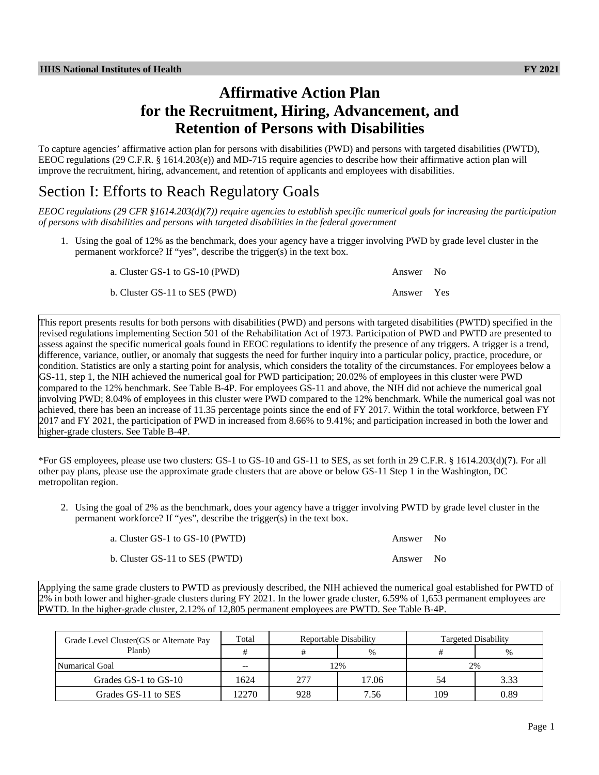# **Affirmative Action Plan for the Recruitment, Hiring, Advancement, and Retention of Persons with Disabilities**

To capture agencies' affirmative action plan for persons with disabilities (PWD) and persons with targeted disabilities (PWTD), EEOC regulations (29 C.F.R. § 1614.203(e)) and MD-715 require agencies to describe how their affirmative action plan will improve the recruitment, hiring, advancement, and retention of applicants and employees with disabilities.

# Section I: Efforts to Reach Regulatory Goals

*EEOC regulations (29 CFR §1614.203(d)(7)) require agencies to establish specific numerical goals for increasing the participation of persons with disabilities and persons with targeted disabilities in the federal government*

1. Using the goal of 12% as the benchmark, does your agency have a trigger involving PWD by grade level cluster in the permanent workforce? If "yes", describe the trigger(s) in the text box.

| a. Cluster GS-1 to GS-10 (PWD) | Answer No  |  |
|--------------------------------|------------|--|
| b. Cluster GS-11 to SES (PWD)  | Answer Yes |  |

This report presents results for both persons with disabilities (PWD) and persons with targeted disabilities (PWTD) specified in the revised regulations implementing Section 501 of the Rehabilitation Act of 1973. Participation of PWD and PWTD are presented to assess against the specific numerical goals found in EEOC regulations to identify the presence of any triggers. A trigger is a trend, difference, variance, outlier, or anomaly that suggests the need for further inquiry into a particular policy, practice, procedure, or condition. Statistics are only a starting point for analysis, which considers the totality of the circumstances. For employees below a GS-11, step 1, the NIH achieved the numerical goal for PWD participation; 20.02% of employees in this cluster were PWD compared to the 12% benchmark. See Table B-4P. For employees GS-11 and above, the NIH did not achieve the numerical goal involving PWD; 8.04% of employees in this cluster were PWD compared to the 12% benchmark. While the numerical goal was not achieved, there has been an increase of 11.35 percentage points since the end of FY 2017. Within the total workforce, between FY 2017 and FY 2021, the participation of PWD in increased from 8.66% to 9.41%; and participation increased in both the lower and higher-grade clusters. See Table B-4P.

\*For GS employees, please use two clusters: GS-1 to GS-10 and GS-11 to SES, as set forth in 29 C.F.R. § 1614.203(d)(7). For all other pay plans, please use the approximate grade clusters that are above or below GS-11 Step 1 in the Washington, DC metropolitan region.

2. Using the goal of 2% as the benchmark, does your agency have a trigger involving PWTD by grade level cluster in the permanent workforce? If "yes", describe the trigger(s) in the text box.

| a. Cluster GS-1 to GS-10 (PWTD) | Answer No |  |
|---------------------------------|-----------|--|
| b. Cluster GS-11 to SES (PWTD)  | Answer No |  |

Applying the same grade clusters to PWTD as previously described, the NIH achieved the numerical goal established for PWTD of 2% in both lower and higher-grade clusters during FY 2021. In the lower grade cluster, 6.59% of 1,653 permanent employees are PWTD. In the higher-grade cluster, 2.12% of 12,805 permanent employees are PWTD. See Table B-4P.

| Grade Level Cluster (GS or Alternate Pay | Total | Reportable Disability |       | <b>Targeted Disability</b> |      |
|------------------------------------------|-------|-----------------------|-------|----------------------------|------|
| Planb)                                   |       |                       | %     |                            | %    |
| Numarical Goal                           | $- -$ |                       | 2%    | 2%                         |      |
| Grades GS-1 to GS-10                     | 1624  | 277                   | 17.06 |                            | 3.33 |
| Grades GS-11 to SES                      | 12270 | 928                   | 7.56  | 109                        | 0.89 |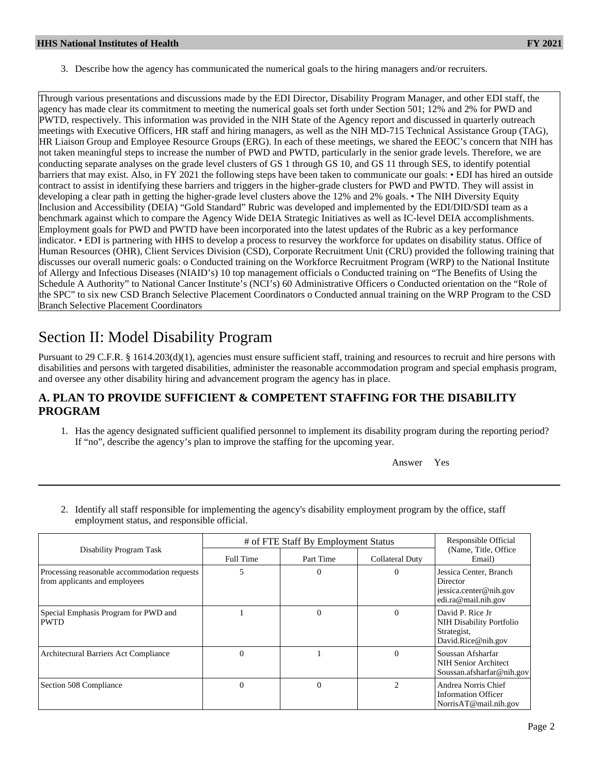3. Describe how the agency has communicated the numerical goals to the hiring managers and/or recruiters.

Through various presentations and discussions made by the EDI Director, Disability Program Manager, and other EDI staff, the agency has made clear its commitment to meeting the numerical goals set forth under Section 501; 12% and 2% for PWD and PWTD, respectively. This information was provided in the NIH State of the Agency report and discussed in quarterly outreach meetings with Executive Officers, HR staff and hiring managers, as well as the NIH MD-715 Technical Assistance Group (TAG), HR Liaison Group and Employee Resource Groups (ERG). In each of these meetings, we shared the EEOC's concern that NIH has not taken meaningful steps to increase the number of PWD and PWTD, particularly in the senior grade levels. Therefore, we are conducting separate analyses on the grade level clusters of GS 1 through GS 10, and GS 11 through SES, to identify potential barriers that may exist. Also, in FY 2021 the following steps have been taken to communicate our goals: • EDI has hired an outside contract to assist in identifying these barriers and triggers in the higher-grade clusters for PWD and PWTD. They will assist in developing a clear path in getting the higher-grade level clusters above the 12% and 2% goals. • The NIH Diversity Equity Inclusion and Accessibility (DEIA) "Gold Standard" Rubric was developed and implemented by the EDI/DID/SDI team as a benchmark against which to compare the Agency Wide DEIA Strategic Initiatives as well as IC-level DEIA accomplishments. Employment goals for PWD and PWTD have been incorporated into the latest updates of the Rubric as a key performance indicator. • EDI is partnering with HHS to develop a process to resurvey the workforce for updates on disability status. Office of Human Resources (OHR), Client Services Division (CSD), Corporate Recruitment Unit (CRU) provided the following training that discusses our overall numeric goals: o Conducted training on the Workforce Recruitment Program (WRP) to the National Institute of Allergy and Infectious Diseases (NIAID's) 10 top management officials o Conducted training on "The Benefits of Using the Schedule A Authority" to National Cancer Institute's (NCI's) 60 Administrative Officers o Conducted orientation on the "Role of the SPC" to six new CSD Branch Selective Placement Coordinators o Conducted annual training on the WRP Program to the CSD Branch Selective Placement Coordinators

# Section II: Model Disability Program

Pursuant to 29 C.F.R. § 1614.203(d)(1), agencies must ensure sufficient staff, training and resources to recruit and hire persons with disabilities and persons with targeted disabilities, administer the reasonable accommodation program and special emphasis program, and oversee any other disability hiring and advancement program the agency has in place.

## **A. PLAN TO PROVIDE SUFFICIENT & COMPETENT STAFFING FOR THE DISABILITY PROGRAM**

1. Has the agency designated sufficient qualified personnel to implement its disability program during the reporting period? If "no", describe the agency's plan to improve the staffing for the upcoming year.

Answer Yes

2. Identify all staff responsible for implementing the agency's disability employment program by the office, staff employment status, and responsible official.

|                                                                               | # of FTE Staff By Employment Status | Responsible Official |                 |                                                                                            |
|-------------------------------------------------------------------------------|-------------------------------------|----------------------|-----------------|--------------------------------------------------------------------------------------------|
| Disability Program Task                                                       | Full Time                           | Part Time            | Collateral Duty | (Name, Title, Office)<br>Email)                                                            |
| Processing reasonable accommodation requests<br>from applicants and employees |                                     | $\theta$             | 0               | Jessica Center, Branch<br><b>Director</b><br>iessica.center@nih.gov<br>edi.ra@mail.nih.gov |
| Special Emphasis Program for PWD and<br><b>PWTD</b>                           |                                     | $\theta$             | $\theta$        | David P. Rice Jr.<br>NIH Disability Portfolio<br>Strategist,<br>David.Rice@nih.gov         |
| Architectural Barriers Act Compliance                                         | $\Omega$                            |                      | $\theta$        | Soussan Afsharfar<br>NIH Senior Architect<br>Soussan.afsharfar@nih.gov                     |
| Section 508 Compliance                                                        | $\Omega$                            | $\theta$             |                 | Andrea Norris Chief<br><b>Information Officer</b><br>NorrisAT@mail.nih.gov                 |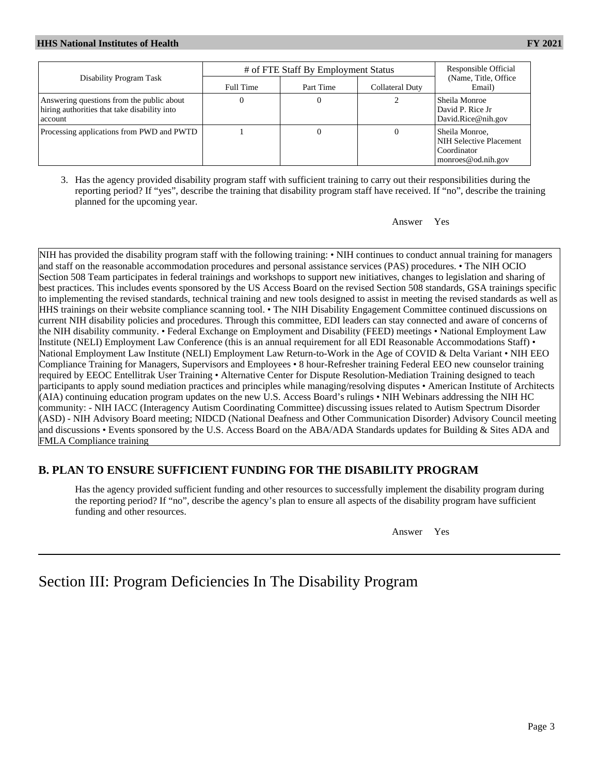|                                                                                                        | # of FTE Staff By Employment Status | Responsible Official |                 |                                                                                |
|--------------------------------------------------------------------------------------------------------|-------------------------------------|----------------------|-----------------|--------------------------------------------------------------------------------|
| Disability Program Task                                                                                | Full Time                           | Part Time            | Collateral Duty | (Name, Title, Office)<br>Email)                                                |
| Answering questions from the public about<br>hiring authorities that take disability into<br>l account |                                     |                      |                 | Sheila Monroe<br>David P. Rice Jr<br>David.Rice@nih.gov                        |
| Processing applications from PWD and PWTD                                                              |                                     |                      | $\theta$        | Sheila Monroe.<br>NIH Selective Placement<br>Coordinator<br>monroes@od.nih.gov |

3. Has the agency provided disability program staff with sufficient training to carry out their responsibilities during the reporting period? If "yes", describe the training that disability program staff have received. If "no", describe the training planned for the upcoming year.

Answer Yes

NIH has provided the disability program staff with the following training: • NIH continues to conduct annual training for managers and staff on the reasonable accommodation procedures and personal assistance services (PAS) procedures. • The NIH OCIO Section 508 Team participates in federal trainings and workshops to support new initiatives, changes to legislation and sharing of best practices. This includes events sponsored by the US Access Board on the revised Section 508 standards, GSA trainings specific to implementing the revised standards, technical training and new tools designed to assist in meeting the revised standards as well as HHS trainings on their website compliance scanning tool. • The NIH Disability Engagement Committee continued discussions on current NIH disability policies and procedures. Through this committee, EDI leaders can stay connected and aware of concerns of the NIH disability community. • Federal Exchange on Employment and Disability (FEED) meetings • National Employment Law Institute (NELI) Employment Law Conference (this is an annual requirement for all EDI Reasonable Accommodations Staff) • National Employment Law Institute (NELI) Employment Law Return-to-Work in the Age of COVID & Delta Variant • NIH EEO Compliance Training for Managers, Supervisors and Employees • 8 hour-Refresher training Federal EEO new counselor training required by EEOC Entellitrak User Training • Alternative Center for Dispute Resolution-Mediation Training designed to teach participants to apply sound mediation practices and principles while managing/resolving disputes • American Institute of Architects (AIA) continuing education program updates on the new U.S. Access Board's rulings • NIH Webinars addressing the NIH HC community: - NIH IACC (Interagency Autism Coordinating Committee) discussing issues related to Autism Spectrum Disorder (ASD) - NIH Advisory Board meeting; NIDCD (National Deafness and Other Communication Disorder) Advisory Council meeting and discussions • Events sponsored by the U.S. Access Board on the ABA/ADA Standards updates for Building & Sites ADA and FMLA Compliance training

# **B. PLAN TO ENSURE SUFFICIENT FUNDING FOR THE DISABILITY PROGRAM**

Has the agency provided sufficient funding and other resources to successfully implement the disability program during the reporting period? If "no", describe the agency's plan to ensure all aspects of the disability program have sufficient funding and other resources.

Answer Yes

# Section III: Program Deficiencies In The Disability Program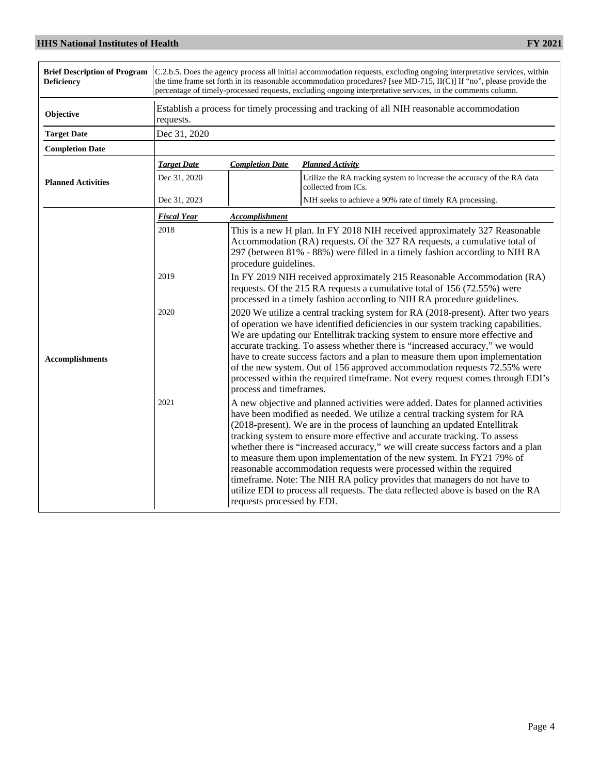| <b>Brief Description of Program</b><br><b>Deficiency</b> | C.2.b.5. Does the agency process all initial accommodation requests, excluding ongoing interpretative services, within<br>the time frame set forth in its reasonable accommodation procedures? [see MD-715, II(C)] If "no", please provide the<br>percentage of timely-processed requests, excluding ongoing interpretative services, in the comments column. |                                                                                                                                                                                                                                                                                                                                                                                                                                                                                                                                                                                                                                                                                                                                                           |                                                                                               |  |  |
|----------------------------------------------------------|---------------------------------------------------------------------------------------------------------------------------------------------------------------------------------------------------------------------------------------------------------------------------------------------------------------------------------------------------------------|-----------------------------------------------------------------------------------------------------------------------------------------------------------------------------------------------------------------------------------------------------------------------------------------------------------------------------------------------------------------------------------------------------------------------------------------------------------------------------------------------------------------------------------------------------------------------------------------------------------------------------------------------------------------------------------------------------------------------------------------------------------|-----------------------------------------------------------------------------------------------|--|--|
| Objective                                                | requests.                                                                                                                                                                                                                                                                                                                                                     | Establish a process for timely processing and tracking of all NIH reasonable accommodation                                                                                                                                                                                                                                                                                                                                                                                                                                                                                                                                                                                                                                                                |                                                                                               |  |  |
| <b>Target Date</b>                                       | Dec 31, 2020                                                                                                                                                                                                                                                                                                                                                  |                                                                                                                                                                                                                                                                                                                                                                                                                                                                                                                                                                                                                                                                                                                                                           |                                                                                               |  |  |
| <b>Completion Date</b>                                   |                                                                                                                                                                                                                                                                                                                                                               |                                                                                                                                                                                                                                                                                                                                                                                                                                                                                                                                                                                                                                                                                                                                                           |                                                                                               |  |  |
|                                                          | <b>Target Date</b>                                                                                                                                                                                                                                                                                                                                            | <b>Completion Date</b>                                                                                                                                                                                                                                                                                                                                                                                                                                                                                                                                                                                                                                                                                                                                    | <b>Planned Activity</b>                                                                       |  |  |
| <b>Planned Activities</b>                                | Dec 31, 2020                                                                                                                                                                                                                                                                                                                                                  |                                                                                                                                                                                                                                                                                                                                                                                                                                                                                                                                                                                                                                                                                                                                                           | Utilize the RA tracking system to increase the accuracy of the RA data<br>collected from ICs. |  |  |
|                                                          | Dec 31, 2023                                                                                                                                                                                                                                                                                                                                                  |                                                                                                                                                                                                                                                                                                                                                                                                                                                                                                                                                                                                                                                                                                                                                           | NIH seeks to achieve a 90% rate of timely RA processing.                                      |  |  |
|                                                          | <b>Fiscal Year</b>                                                                                                                                                                                                                                                                                                                                            | <b>Accomplishment</b>                                                                                                                                                                                                                                                                                                                                                                                                                                                                                                                                                                                                                                                                                                                                     |                                                                                               |  |  |
|                                                          | 2018                                                                                                                                                                                                                                                                                                                                                          | This is a new H plan. In FY 2018 NIH received approximately 327 Reasonable<br>Accommodation (RA) requests. Of the 327 RA requests, a cumulative total of<br>297 (between 81% - 88%) were filled in a timely fashion according to NIH RA<br>procedure guidelines.                                                                                                                                                                                                                                                                                                                                                                                                                                                                                          |                                                                                               |  |  |
|                                                          | 2019                                                                                                                                                                                                                                                                                                                                                          | In FY 2019 NIH received approximately 215 Reasonable Accommodation (RA)<br>requests. Of the 215 RA requests a cumulative total of 156 (72.55%) were<br>processed in a timely fashion according to NIH RA procedure guidelines.                                                                                                                                                                                                                                                                                                                                                                                                                                                                                                                            |                                                                                               |  |  |
| <b>Accomplishments</b>                                   | 2020                                                                                                                                                                                                                                                                                                                                                          | 2020 We utilize a central tracking system for RA (2018-present). After two years<br>of operation we have identified deficiencies in our system tracking capabilities.<br>We are updating our Entellitrak tracking system to ensure more effective and<br>accurate tracking. To assess whether there is "increased accuracy," we would<br>have to create success factors and a plan to measure them upon implementation<br>of the new system. Out of 156 approved accommodation requests 72.55% were<br>processed within the required timeframe. Not every request comes through EDI's<br>process and timeframes.                                                                                                                                          |                                                                                               |  |  |
|                                                          | 2021                                                                                                                                                                                                                                                                                                                                                          | A new objective and planned activities were added. Dates for planned activities<br>have been modified as needed. We utilize a central tracking system for RA<br>(2018-present). We are in the process of launching an updated Entellitrak<br>tracking system to ensure more effective and accurate tracking. To assess<br>whether there is "increased accuracy," we will create success factors and a plan<br>to measure them upon implementation of the new system. In FY21 79% of<br>reasonable accommodation requests were processed within the required<br>timeframe. Note: The NIH RA policy provides that managers do not have to<br>utilize EDI to process all requests. The data reflected above is based on the RA<br>requests processed by EDI. |                                                                                               |  |  |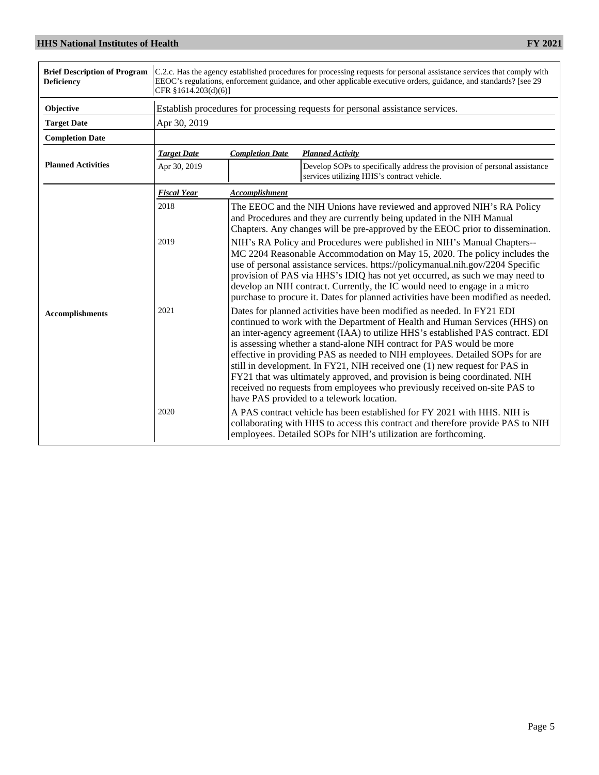| <b>Brief Description of Program</b><br><b>Deficiency</b> | C.2.c. Has the agency established procedures for processing requests for personal assistance services that comply with<br>EEOC's regulations, enforcement guidance, and other applicable executive orders, guidance, and standards? [see 29]<br>CFR §1614.203(d)(6)] |                                                                                                                                                                                                                                                                                                                                                                                                                                                                                              |                                                                                                                                                                                                                                                                                                                                                                                                                                                                                                                                                                                                                                                                                                                                                                     |  |
|----------------------------------------------------------|----------------------------------------------------------------------------------------------------------------------------------------------------------------------------------------------------------------------------------------------------------------------|----------------------------------------------------------------------------------------------------------------------------------------------------------------------------------------------------------------------------------------------------------------------------------------------------------------------------------------------------------------------------------------------------------------------------------------------------------------------------------------------|---------------------------------------------------------------------------------------------------------------------------------------------------------------------------------------------------------------------------------------------------------------------------------------------------------------------------------------------------------------------------------------------------------------------------------------------------------------------------------------------------------------------------------------------------------------------------------------------------------------------------------------------------------------------------------------------------------------------------------------------------------------------|--|
| Objective                                                |                                                                                                                                                                                                                                                                      |                                                                                                                                                                                                                                                                                                                                                                                                                                                                                              | Establish procedures for processing requests for personal assistance services.                                                                                                                                                                                                                                                                                                                                                                                                                                                                                                                                                                                                                                                                                      |  |
| <b>Target Date</b>                                       | Apr 30, 2019                                                                                                                                                                                                                                                         |                                                                                                                                                                                                                                                                                                                                                                                                                                                                                              |                                                                                                                                                                                                                                                                                                                                                                                                                                                                                                                                                                                                                                                                                                                                                                     |  |
| <b>Completion Date</b>                                   |                                                                                                                                                                                                                                                                      |                                                                                                                                                                                                                                                                                                                                                                                                                                                                                              |                                                                                                                                                                                                                                                                                                                                                                                                                                                                                                                                                                                                                                                                                                                                                                     |  |
|                                                          | <b>Target Date</b>                                                                                                                                                                                                                                                   | <b>Completion Date</b>                                                                                                                                                                                                                                                                                                                                                                                                                                                                       | <b>Planned Activity</b>                                                                                                                                                                                                                                                                                                                                                                                                                                                                                                                                                                                                                                                                                                                                             |  |
| <b>Planned Activities</b>                                | Apr 30, 2019                                                                                                                                                                                                                                                         |                                                                                                                                                                                                                                                                                                                                                                                                                                                                                              | Develop SOPs to specifically address the provision of personal assistance<br>services utilizing HHS's contract vehicle.                                                                                                                                                                                                                                                                                                                                                                                                                                                                                                                                                                                                                                             |  |
|                                                          | <b>Fiscal Year</b>                                                                                                                                                                                                                                                   | Accomplishment                                                                                                                                                                                                                                                                                                                                                                                                                                                                               |                                                                                                                                                                                                                                                                                                                                                                                                                                                                                                                                                                                                                                                                                                                                                                     |  |
|                                                          | 2018                                                                                                                                                                                                                                                                 |                                                                                                                                                                                                                                                                                                                                                                                                                                                                                              | The EEOC and the NIH Unions have reviewed and approved NIH's RA Policy<br>and Procedures and they are currently being updated in the NIH Manual<br>Chapters. Any changes will be pre-approved by the EEOC prior to dissemination.                                                                                                                                                                                                                                                                                                                                                                                                                                                                                                                                   |  |
|                                                          | 2019                                                                                                                                                                                                                                                                 | NIH's RA Policy and Procedures were published in NIH's Manual Chapters--<br>MC 2204 Reasonable Accommodation on May 15, 2020. The policy includes the<br>use of personal assistance services. https://policymanual.nih.gov/2204 Specific<br>provision of PAS via HHS's IDIQ has not yet occurred, as such we may need to<br>develop an NIH contract. Currently, the IC would need to engage in a micro<br>purchase to procure it. Dates for planned activities have been modified as needed. |                                                                                                                                                                                                                                                                                                                                                                                                                                                                                                                                                                                                                                                                                                                                                                     |  |
| <b>Accomplishments</b>                                   | 2021<br>2020                                                                                                                                                                                                                                                         |                                                                                                                                                                                                                                                                                                                                                                                                                                                                                              | Dates for planned activities have been modified as needed. In FY21 EDI<br>continued to work with the Department of Health and Human Services (HHS) on<br>an inter-agency agreement (IAA) to utilize HHS's established PAS contract. EDI<br>is assessing whether a stand-alone NIH contract for PAS would be more<br>effective in providing PAS as needed to NIH employees. Detailed SOPs for are<br>still in development. In FY21, NIH received one (1) new request for PAS in<br>FY21 that was ultimately approved, and provision is being coordinated. NIH<br>received no requests from employees who previously received on-site PAS to<br>have PAS provided to a telework location.<br>A PAS contract vehicle has been established for FY 2021 with HHS. NIH is |  |
|                                                          |                                                                                                                                                                                                                                                                      |                                                                                                                                                                                                                                                                                                                                                                                                                                                                                              | collaborating with HHS to access this contract and therefore provide PAS to NIH<br>employees. Detailed SOPs for NIH's utilization are forthcoming.                                                                                                                                                                                                                                                                                                                                                                                                                                                                                                                                                                                                                  |  |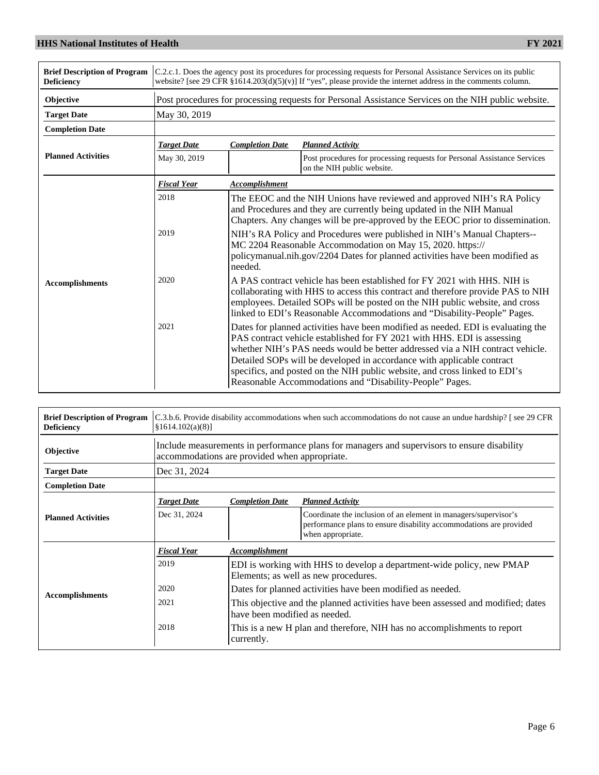| <b>Brief Description of Program</b><br><b>Deficiency</b> | C.2.c.1. Does the agency post its procedures for processing requests for Personal Assistance Services on its public<br>website? [see 29 CFR $\S1614.203(d)(5)(v)$ ] If "yes", please provide the internet address in the comments column. |                                                                                                                                                                                                                                                                                                                         |                                                                                                                                                                                                                                                                                                                                                                                                                                                                  |  |  |
|----------------------------------------------------------|-------------------------------------------------------------------------------------------------------------------------------------------------------------------------------------------------------------------------------------------|-------------------------------------------------------------------------------------------------------------------------------------------------------------------------------------------------------------------------------------------------------------------------------------------------------------------------|------------------------------------------------------------------------------------------------------------------------------------------------------------------------------------------------------------------------------------------------------------------------------------------------------------------------------------------------------------------------------------------------------------------------------------------------------------------|--|--|
| Objective                                                |                                                                                                                                                                                                                                           | Post procedures for processing requests for Personal Assistance Services on the NIH public website.                                                                                                                                                                                                                     |                                                                                                                                                                                                                                                                                                                                                                                                                                                                  |  |  |
| <b>Target Date</b>                                       | May 30, 2019                                                                                                                                                                                                                              |                                                                                                                                                                                                                                                                                                                         |                                                                                                                                                                                                                                                                                                                                                                                                                                                                  |  |  |
| <b>Completion Date</b>                                   |                                                                                                                                                                                                                                           |                                                                                                                                                                                                                                                                                                                         |                                                                                                                                                                                                                                                                                                                                                                                                                                                                  |  |  |
|                                                          | <b>Target Date</b>                                                                                                                                                                                                                        | <b>Completion Date</b>                                                                                                                                                                                                                                                                                                  | <b>Planned Activity</b>                                                                                                                                                                                                                                                                                                                                                                                                                                          |  |  |
| <b>Planned Activities</b>                                | May 30, 2019                                                                                                                                                                                                                              |                                                                                                                                                                                                                                                                                                                         | Post procedures for processing requests for Personal Assistance Services<br>on the NIH public website.                                                                                                                                                                                                                                                                                                                                                           |  |  |
|                                                          | <b>Fiscal Year</b>                                                                                                                                                                                                                        | <b>Accomplishment</b>                                                                                                                                                                                                                                                                                                   |                                                                                                                                                                                                                                                                                                                                                                                                                                                                  |  |  |
| <b>Accomplishments</b>                                   | 2018                                                                                                                                                                                                                                      | The EEOC and the NIH Unions have reviewed and approved NIH's RA Policy<br>and Procedures and they are currently being updated in the NIH Manual<br>Chapters. Any changes will be pre-approved by the EEOC prior to dissemination.                                                                                       |                                                                                                                                                                                                                                                                                                                                                                                                                                                                  |  |  |
|                                                          | 2019                                                                                                                                                                                                                                      | NIH's RA Policy and Procedures were published in NIH's Manual Chapters--<br>MC 2204 Reasonable Accommodation on May 15, 2020. https://<br>policymanual.nih.gov/2204 Dates for planned activities have been modified as<br>needed.                                                                                       |                                                                                                                                                                                                                                                                                                                                                                                                                                                                  |  |  |
|                                                          | 2020                                                                                                                                                                                                                                      | A PAS contract vehicle has been established for FY 2021 with HHS. NIH is<br>collaborating with HHS to access this contract and therefore provide PAS to NIH<br>employees. Detailed SOPs will be posted on the NIH public website, and cross<br>linked to EDI's Reasonable Accommodations and "Disability-People" Pages. |                                                                                                                                                                                                                                                                                                                                                                                                                                                                  |  |  |
|                                                          | 2021                                                                                                                                                                                                                                      |                                                                                                                                                                                                                                                                                                                         | Dates for planned activities have been modified as needed. EDI is evaluating the<br>PAS contract vehicle established for FY 2021 with HHS. EDI is assessing<br>whether NIH's PAS needs would be better addressed via a NIH contract vehicle.<br>Detailed SOPs will be developed in accordance with applicable contract<br>specifics, and posted on the NIH public website, and cross linked to EDI's<br>Reasonable Accommodations and "Disability-People" Pages. |  |  |

| <b>Brief Description of Program</b><br><b>Deficiency</b> | C.3.b.6. Provide disability accommodations when such accommodations do not cause an undue hardship? [see 29 CFR<br>$\left[\frac{81614.102(a)(8)}{8}\right]$ |                                                                                                                                              |                                                                                                                                                            |  |  |
|----------------------------------------------------------|-------------------------------------------------------------------------------------------------------------------------------------------------------------|----------------------------------------------------------------------------------------------------------------------------------------------|------------------------------------------------------------------------------------------------------------------------------------------------------------|--|--|
| <b>Objective</b>                                         |                                                                                                                                                             | Include measurements in performance plans for managers and supervisors to ensure disability<br>accommodations are provided when appropriate. |                                                                                                                                                            |  |  |
| <b>Target Date</b>                                       | Dec 31, 2024                                                                                                                                                |                                                                                                                                              |                                                                                                                                                            |  |  |
| <b>Completion Date</b>                                   |                                                                                                                                                             |                                                                                                                                              |                                                                                                                                                            |  |  |
|                                                          | <b>Target Date</b>                                                                                                                                          | <b>Completion Date</b>                                                                                                                       | <b>Planned Activity</b>                                                                                                                                    |  |  |
| <b>Planned Activities</b>                                | Dec 31, 2024                                                                                                                                                |                                                                                                                                              | Coordinate the inclusion of an element in managers/supervisor's<br>performance plans to ensure disability accommodations are provided<br>when appropriate. |  |  |
|                                                          | <b>Fiscal Year</b>                                                                                                                                          | <i><b>Accomplishment</b></i>                                                                                                                 |                                                                                                                                                            |  |  |
|                                                          | 2019                                                                                                                                                        | EDI is working with HHS to develop a department-wide policy, new PMAP<br>Elements; as well as new procedures.                                |                                                                                                                                                            |  |  |
| <b>Accomplishments</b>                                   | 2020                                                                                                                                                        | Dates for planned activities have been modified as needed.                                                                                   |                                                                                                                                                            |  |  |
|                                                          | 2021                                                                                                                                                        | This objective and the planned activities have been assessed and modified; dates<br>have been modified as needed.                            |                                                                                                                                                            |  |  |
|                                                          | 2018                                                                                                                                                        | currently.                                                                                                                                   | This is a new H plan and therefore, NIH has no accomplishments to report                                                                                   |  |  |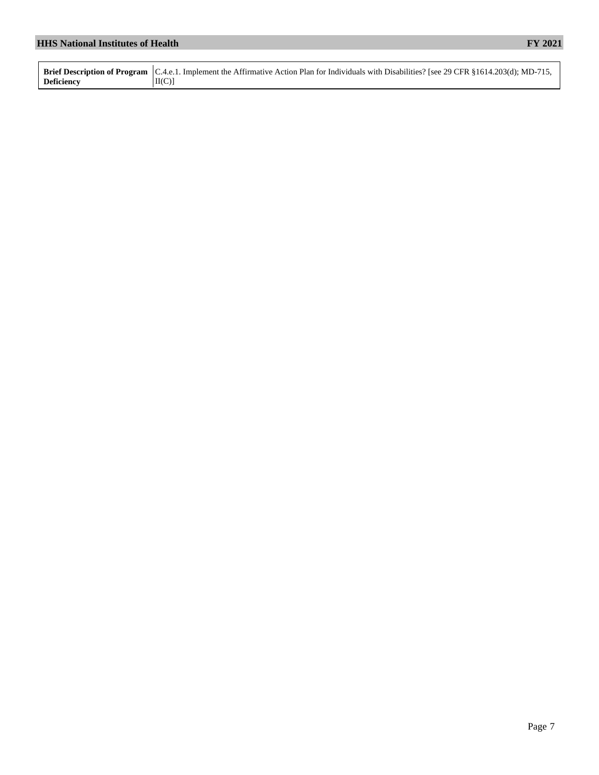| <b>HHS National Institutes of Health</b> |                                                                                                                                                                     | <b>FY 2021</b> |
|------------------------------------------|---------------------------------------------------------------------------------------------------------------------------------------------------------------------|----------------|
|                                          |                                                                                                                                                                     |                |
| <b>Deficiency</b>                        | Brief Description of Program [C.4.e.1. Implement the Affirmative Action Plan for Individuals with Disabilities? [see 29 CFR §1614.203(d); MD-715,<br>$\text{II}(C)$ |                |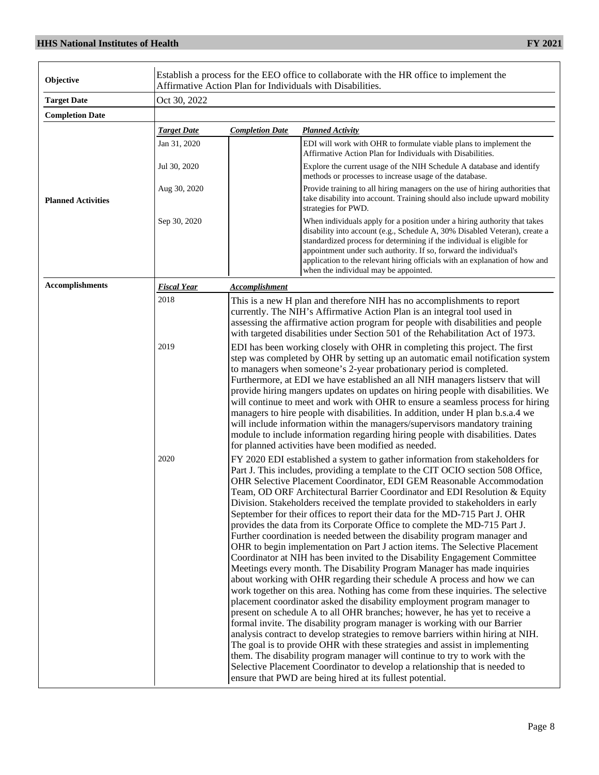| Objective                 |                    |                                                                                                                                                                                                                                                                                                                                                                                                                                                                                                                                                                                                                                                                                                                                   | Establish a process for the EEO office to collaborate with the HR office to implement the<br>Affirmative Action Plan for Individuals with Disabilities.                                                                                                                                                                                                                                                                                                                                                                                                                                                                                                                                                                                                                                                   |  |
|---------------------------|--------------------|-----------------------------------------------------------------------------------------------------------------------------------------------------------------------------------------------------------------------------------------------------------------------------------------------------------------------------------------------------------------------------------------------------------------------------------------------------------------------------------------------------------------------------------------------------------------------------------------------------------------------------------------------------------------------------------------------------------------------------------|-----------------------------------------------------------------------------------------------------------------------------------------------------------------------------------------------------------------------------------------------------------------------------------------------------------------------------------------------------------------------------------------------------------------------------------------------------------------------------------------------------------------------------------------------------------------------------------------------------------------------------------------------------------------------------------------------------------------------------------------------------------------------------------------------------------|--|
| <b>Target Date</b>        | Oct 30, 2022       |                                                                                                                                                                                                                                                                                                                                                                                                                                                                                                                                                                                                                                                                                                                                   |                                                                                                                                                                                                                                                                                                                                                                                                                                                                                                                                                                                                                                                                                                                                                                                                           |  |
| <b>Completion Date</b>    |                    |                                                                                                                                                                                                                                                                                                                                                                                                                                                                                                                                                                                                                                                                                                                                   |                                                                                                                                                                                                                                                                                                                                                                                                                                                                                                                                                                                                                                                                                                                                                                                                           |  |
|                           | <b>Target Date</b> | <b>Completion Date</b>                                                                                                                                                                                                                                                                                                                                                                                                                                                                                                                                                                                                                                                                                                            | <b>Planned Activity</b>                                                                                                                                                                                                                                                                                                                                                                                                                                                                                                                                                                                                                                                                                                                                                                                   |  |
|                           | Jan 31, 2020       |                                                                                                                                                                                                                                                                                                                                                                                                                                                                                                                                                                                                                                                                                                                                   | EDI will work with OHR to formulate viable plans to implement the<br>Affirmative Action Plan for Individuals with Disabilities.                                                                                                                                                                                                                                                                                                                                                                                                                                                                                                                                                                                                                                                                           |  |
|                           | Jul 30, 2020       |                                                                                                                                                                                                                                                                                                                                                                                                                                                                                                                                                                                                                                                                                                                                   | Explore the current usage of the NIH Schedule A database and identify<br>methods or processes to increase usage of the database.                                                                                                                                                                                                                                                                                                                                                                                                                                                                                                                                                                                                                                                                          |  |
| <b>Planned Activities</b> | Aug 30, 2020       |                                                                                                                                                                                                                                                                                                                                                                                                                                                                                                                                                                                                                                                                                                                                   | Provide training to all hiring managers on the use of hiring authorities that<br>take disability into account. Training should also include upward mobility<br>strategies for PWD.                                                                                                                                                                                                                                                                                                                                                                                                                                                                                                                                                                                                                        |  |
|                           | Sep 30, 2020       |                                                                                                                                                                                                                                                                                                                                                                                                                                                                                                                                                                                                                                                                                                                                   | When individuals apply for a position under a hiring authority that takes<br>disability into account (e.g., Schedule A, 30% Disabled Veteran), create a<br>standardized process for determining if the individual is eligible for<br>appointment under such authority. If so, forward the individual's<br>application to the relevant hiring officials with an explanation of how and<br>when the individual may be appointed.                                                                                                                                                                                                                                                                                                                                                                            |  |
| <b>Accomplishments</b>    | <u>Fiscal Year</u> | <b>Accomplishment</b>                                                                                                                                                                                                                                                                                                                                                                                                                                                                                                                                                                                                                                                                                                             |                                                                                                                                                                                                                                                                                                                                                                                                                                                                                                                                                                                                                                                                                                                                                                                                           |  |
|                           | 2018               |                                                                                                                                                                                                                                                                                                                                                                                                                                                                                                                                                                                                                                                                                                                                   | This is a new H plan and therefore NIH has no accomplishments to report<br>currently. The NIH's Affirmative Action Plan is an integral tool used in<br>assessing the affirmative action program for people with disabilities and people<br>with targeted disabilities under Section 501 of the Rehabilitation Act of 1973.                                                                                                                                                                                                                                                                                                                                                                                                                                                                                |  |
| 2019                      |                    |                                                                                                                                                                                                                                                                                                                                                                                                                                                                                                                                                                                                                                                                                                                                   | EDI has been working closely with OHR in completing this project. The first<br>step was completed by OHR by setting up an automatic email notification system<br>to managers when someone's 2-year probationary period is completed.<br>Furthermore, at EDI we have established an all NIH managers listserv that will<br>provide hiring mangers updates on updates on hiring people with disabilities. We<br>will continue to meet and work with OHR to ensure a seamless process for hiring<br>managers to hire people with disabilities. In addition, under H plan b.s.a.4 we<br>will include information within the managers/supervisors mandatory training<br>module to include information regarding hiring people with disabilities. Dates<br>for planned activities have been modified as needed. |  |
|                           | 2020               | FY 2020 EDI established a system to gather information from stakeholders for<br>Part J. This includes, providing a template to the CIT OCIO section 508 Office,<br>OHR Selective Placement Coordinator, EDI GEM Reasonable Accommodation<br>Team, OD ORF Architectural Barrier Coordinator and EDI Resolution & Equity<br>Division. Stakeholders received the template provided to stakeholders in early<br>September for their offices to report their data for the MD-715 Part J. OHR<br>provides the data from its Corporate Office to complete the MD-715 Part J.<br>Further coordination is needed between the disability program manager and<br>OHR to begin implementation on Part J action items. The Selective Placement |                                                                                                                                                                                                                                                                                                                                                                                                                                                                                                                                                                                                                                                                                                                                                                                                           |  |

Coordinator at NIH has been invited to the Disability Engagement Committee Meetings every month. The Disability Program Manager has made inquiries about working with OHR regarding their schedule A process and how we can work together on this area. Nothing has come from these inquiries. The selective placement coordinator asked the disability employment program manager to present on schedule A to all OHR branches; however, he has yet to receive a formal invite. The disability program manager is working with our Barrier analysis contract to develop strategies to remove barriers within hiring at NIH. The goal is to provide OHR with these strategies and assist in implementing them. The disability program manager will continue to try to work with the Selective Placement Coordinator to develop a relationship that is needed to

ensure that PWD are being hired at its fullest potential.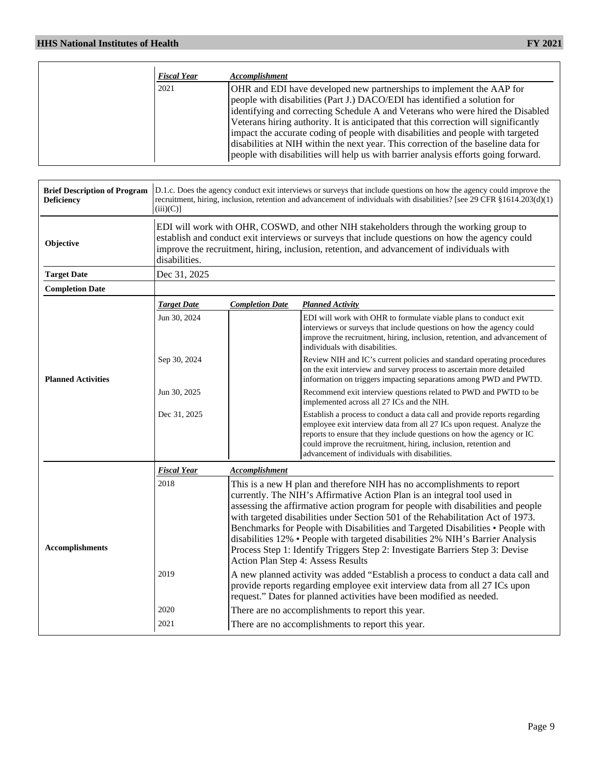| <b>Fiscal Year</b> | Accomplishment                                                                                                                                                                                                                                                                                                                                                                                                                                                                                                                                                                             |
|--------------------|--------------------------------------------------------------------------------------------------------------------------------------------------------------------------------------------------------------------------------------------------------------------------------------------------------------------------------------------------------------------------------------------------------------------------------------------------------------------------------------------------------------------------------------------------------------------------------------------|
| 2021               | OHR and EDI have developed new partnerships to implement the AAP for<br>people with disabilities (Part J.) DACO/EDI has identified a solution for<br>identifying and correcting Schedule A and Veterans who were hired the Disabled<br>Veterans hiring authority. It is anticipated that this correction will significantly<br>impact the accurate coding of people with disabilities and people with targeted<br>disabilities at NIH within the next year. This correction of the baseline data for<br>people with disabilities will help us with barrier analysis efforts going forward. |

| <b>Brief Description of Program</b><br><b>Deficiency</b> | $(iii)(C)$ ]                                                                                                                                                                                                                                                                                             | D.1.c. Does the agency conduct exit interviews or surveys that include questions on how the agency could improve the<br>recruitment, hiring, inclusion, retention and advancement of individuals with disabilities? [see 29 CFR $\S 1614.203(d)(1)$ ]                                                                                                                                                                                                                                                                                                                                                                  |                                                                                                                                                                                                                                                                                                                                                 |  |  |  |  |  |
|----------------------------------------------------------|----------------------------------------------------------------------------------------------------------------------------------------------------------------------------------------------------------------------------------------------------------------------------------------------------------|------------------------------------------------------------------------------------------------------------------------------------------------------------------------------------------------------------------------------------------------------------------------------------------------------------------------------------------------------------------------------------------------------------------------------------------------------------------------------------------------------------------------------------------------------------------------------------------------------------------------|-------------------------------------------------------------------------------------------------------------------------------------------------------------------------------------------------------------------------------------------------------------------------------------------------------------------------------------------------|--|--|--|--|--|
| Objective                                                | EDI will work with OHR, COSWD, and other NIH stakeholders through the working group to<br>establish and conduct exit interviews or surveys that include questions on how the agency could<br>improve the recruitment, hiring, inclusion, retention, and advancement of individuals with<br>disabilities. |                                                                                                                                                                                                                                                                                                                                                                                                                                                                                                                                                                                                                        |                                                                                                                                                                                                                                                                                                                                                 |  |  |  |  |  |
| <b>Target Date</b>                                       | Dec 31, 2025                                                                                                                                                                                                                                                                                             |                                                                                                                                                                                                                                                                                                                                                                                                                                                                                                                                                                                                                        |                                                                                                                                                                                                                                                                                                                                                 |  |  |  |  |  |
| <b>Completion Date</b>                                   |                                                                                                                                                                                                                                                                                                          |                                                                                                                                                                                                                                                                                                                                                                                                                                                                                                                                                                                                                        |                                                                                                                                                                                                                                                                                                                                                 |  |  |  |  |  |
|                                                          | <b>Target Date</b>                                                                                                                                                                                                                                                                                       | <b>Completion Date</b>                                                                                                                                                                                                                                                                                                                                                                                                                                                                                                                                                                                                 | <b>Planned Activity</b>                                                                                                                                                                                                                                                                                                                         |  |  |  |  |  |
| <b>Planned Activities</b>                                | Jun 30, 2024                                                                                                                                                                                                                                                                                             |                                                                                                                                                                                                                                                                                                                                                                                                                                                                                                                                                                                                                        | EDI will work with OHR to formulate viable plans to conduct exit<br>interviews or surveys that include questions on how the agency could<br>improve the recruitment, hiring, inclusion, retention, and advancement of<br>individuals with disabilities.                                                                                         |  |  |  |  |  |
|                                                          | Sep 30, 2024                                                                                                                                                                                                                                                                                             |                                                                                                                                                                                                                                                                                                                                                                                                                                                                                                                                                                                                                        | Review NIH and IC's current policies and standard operating procedures<br>on the exit interview and survey process to ascertain more detailed<br>information on triggers impacting separations among PWD and PWTD.                                                                                                                              |  |  |  |  |  |
|                                                          | Jun 30, 2025                                                                                                                                                                                                                                                                                             |                                                                                                                                                                                                                                                                                                                                                                                                                                                                                                                                                                                                                        | Recommend exit interview questions related to PWD and PWTD to be<br>implemented across all 27 ICs and the NIH.                                                                                                                                                                                                                                  |  |  |  |  |  |
|                                                          | Dec 31, 2025                                                                                                                                                                                                                                                                                             |                                                                                                                                                                                                                                                                                                                                                                                                                                                                                                                                                                                                                        | Establish a process to conduct a data call and provide reports regarding<br>employee exit interview data from all 27 ICs upon request. Analyze the<br>reports to ensure that they include questions on how the agency or IC<br>could improve the recruitment, hiring, inclusion, retention and<br>advancement of individuals with disabilities. |  |  |  |  |  |
|                                                          | <b>Fiscal Year</b>                                                                                                                                                                                                                                                                                       | <b>Accomplishment</b>                                                                                                                                                                                                                                                                                                                                                                                                                                                                                                                                                                                                  |                                                                                                                                                                                                                                                                                                                                                 |  |  |  |  |  |
| <b>Accomplishments</b>                                   | 2018                                                                                                                                                                                                                                                                                                     | This is a new H plan and therefore NIH has no accomplishments to report<br>currently. The NIH's Affirmative Action Plan is an integral tool used in<br>assessing the affirmative action program for people with disabilities and people<br>with targeted disabilities under Section 501 of the Rehabilitation Act of 1973.<br>Benchmarks for People with Disabilities and Targeted Disabilities • People with<br>disabilities 12% • People with targeted disabilities 2% NIH's Barrier Analysis<br>Process Step 1: Identify Triggers Step 2: Investigate Barriers Step 3: Devise<br>Action Plan Step 4: Assess Results |                                                                                                                                                                                                                                                                                                                                                 |  |  |  |  |  |
|                                                          | 2019                                                                                                                                                                                                                                                                                                     | A new planned activity was added "Establish a process to conduct a data call and<br>provide reports regarding employee exit interview data from all 27 ICs upon<br>request." Dates for planned activities have been modified as needed.                                                                                                                                                                                                                                                                                                                                                                                |                                                                                                                                                                                                                                                                                                                                                 |  |  |  |  |  |
|                                                          | 2020                                                                                                                                                                                                                                                                                                     |                                                                                                                                                                                                                                                                                                                                                                                                                                                                                                                                                                                                                        | There are no accomplishments to report this year.                                                                                                                                                                                                                                                                                               |  |  |  |  |  |
|                                                          | 2021                                                                                                                                                                                                                                                                                                     |                                                                                                                                                                                                                                                                                                                                                                                                                                                                                                                                                                                                                        | There are no accomplishments to report this year.                                                                                                                                                                                                                                                                                               |  |  |  |  |  |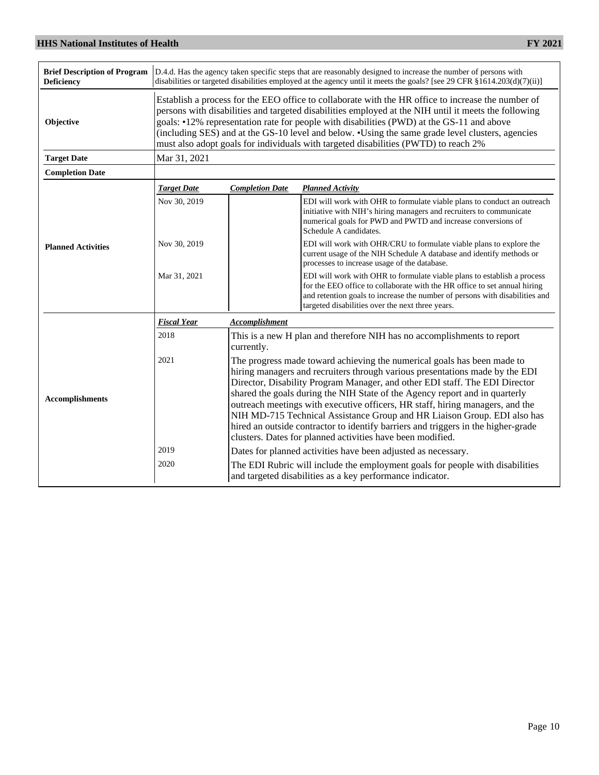| <b>Brief Description of Program</b><br><b>Deficiency</b> |                                                                                                                                                                                                                                                                                                                                                                                                                                                                                                    | D.4.d. Has the agency taken specific steps that are reasonably designed to increase the number of persons with<br>disabilities or targeted disabilities employed at the agency until it meets the goals? [see 29 CFR §1614.203(d)(7)(ii)]                                                                                                                                                                                                                                                                                                                                                                                             |                                                                                                                                                                                                                                                                                         |  |  |  |  |  |
|----------------------------------------------------------|----------------------------------------------------------------------------------------------------------------------------------------------------------------------------------------------------------------------------------------------------------------------------------------------------------------------------------------------------------------------------------------------------------------------------------------------------------------------------------------------------|---------------------------------------------------------------------------------------------------------------------------------------------------------------------------------------------------------------------------------------------------------------------------------------------------------------------------------------------------------------------------------------------------------------------------------------------------------------------------------------------------------------------------------------------------------------------------------------------------------------------------------------|-----------------------------------------------------------------------------------------------------------------------------------------------------------------------------------------------------------------------------------------------------------------------------------------|--|--|--|--|--|
| Objective                                                | Establish a process for the EEO office to collaborate with the HR office to increase the number of<br>persons with disabilities and targeted disabilities employed at the NIH until it meets the following<br>goals: •12% representation rate for people with disabilities (PWD) at the GS-11 and above<br>(including SES) and at the GS-10 level and below. •Using the same grade level clusters, agencies<br>must also adopt goals for individuals with targeted disabilities (PWTD) to reach 2% |                                                                                                                                                                                                                                                                                                                                                                                                                                                                                                                                                                                                                                       |                                                                                                                                                                                                                                                                                         |  |  |  |  |  |
| <b>Target Date</b>                                       | Mar 31, 2021                                                                                                                                                                                                                                                                                                                                                                                                                                                                                       |                                                                                                                                                                                                                                                                                                                                                                                                                                                                                                                                                                                                                                       |                                                                                                                                                                                                                                                                                         |  |  |  |  |  |
| <b>Completion Date</b>                                   |                                                                                                                                                                                                                                                                                                                                                                                                                                                                                                    |                                                                                                                                                                                                                                                                                                                                                                                                                                                                                                                                                                                                                                       |                                                                                                                                                                                                                                                                                         |  |  |  |  |  |
|                                                          | <b>Target Date</b>                                                                                                                                                                                                                                                                                                                                                                                                                                                                                 | <b>Completion Date</b>                                                                                                                                                                                                                                                                                                                                                                                                                                                                                                                                                                                                                | <b>Planned Activity</b>                                                                                                                                                                                                                                                                 |  |  |  |  |  |
| <b>Planned Activities</b>                                | Nov 30, 2019                                                                                                                                                                                                                                                                                                                                                                                                                                                                                       |                                                                                                                                                                                                                                                                                                                                                                                                                                                                                                                                                                                                                                       | EDI will work with OHR to formulate viable plans to conduct an outreach<br>initiative with NIH's hiring managers and recruiters to communicate<br>numerical goals for PWD and PWTD and increase conversions of<br>Schedule A candidates.                                                |  |  |  |  |  |
|                                                          | Nov 30, 2019                                                                                                                                                                                                                                                                                                                                                                                                                                                                                       |                                                                                                                                                                                                                                                                                                                                                                                                                                                                                                                                                                                                                                       | EDI will work with OHR/CRU to formulate viable plans to explore the<br>current usage of the NIH Schedule A database and identify methods or<br>processes to increase usage of the database.                                                                                             |  |  |  |  |  |
|                                                          | Mar 31, 2021                                                                                                                                                                                                                                                                                                                                                                                                                                                                                       |                                                                                                                                                                                                                                                                                                                                                                                                                                                                                                                                                                                                                                       | EDI will work with OHR to formulate viable plans to establish a process<br>for the EEO office to collaborate with the HR office to set annual hiring<br>and retention goals to increase the number of persons with disabilities and<br>targeted disabilities over the next three years. |  |  |  |  |  |
|                                                          | <b>Fiscal Year</b>                                                                                                                                                                                                                                                                                                                                                                                                                                                                                 | <b>Accomplishment</b>                                                                                                                                                                                                                                                                                                                                                                                                                                                                                                                                                                                                                 |                                                                                                                                                                                                                                                                                         |  |  |  |  |  |
|                                                          | 2018                                                                                                                                                                                                                                                                                                                                                                                                                                                                                               | This is a new H plan and therefore NIH has no accomplishments to report<br>currently.                                                                                                                                                                                                                                                                                                                                                                                                                                                                                                                                                 |                                                                                                                                                                                                                                                                                         |  |  |  |  |  |
| <b>Accomplishments</b>                                   | 2021                                                                                                                                                                                                                                                                                                                                                                                                                                                                                               | The progress made toward achieving the numerical goals has been made to<br>hiring managers and recruiters through various presentations made by the EDI<br>Director, Disability Program Manager, and other EDI staff. The EDI Director<br>shared the goals during the NIH State of the Agency report and in quarterly<br>outreach meetings with executive officers, HR staff, hiring managers, and the<br>NIH MD-715 Technical Assistance Group and HR Liaison Group. EDI also has<br>hired an outside contractor to identify barriers and triggers in the higher-grade<br>clusters. Dates for planned activities have been modified. |                                                                                                                                                                                                                                                                                         |  |  |  |  |  |
|                                                          | 2019                                                                                                                                                                                                                                                                                                                                                                                                                                                                                               |                                                                                                                                                                                                                                                                                                                                                                                                                                                                                                                                                                                                                                       | Dates for planned activities have been adjusted as necessary.                                                                                                                                                                                                                           |  |  |  |  |  |
|                                                          | 2020                                                                                                                                                                                                                                                                                                                                                                                                                                                                                               | The EDI Rubric will include the employment goals for people with disabilities<br>and targeted disabilities as a key performance indicator.                                                                                                                                                                                                                                                                                                                                                                                                                                                                                            |                                                                                                                                                                                                                                                                                         |  |  |  |  |  |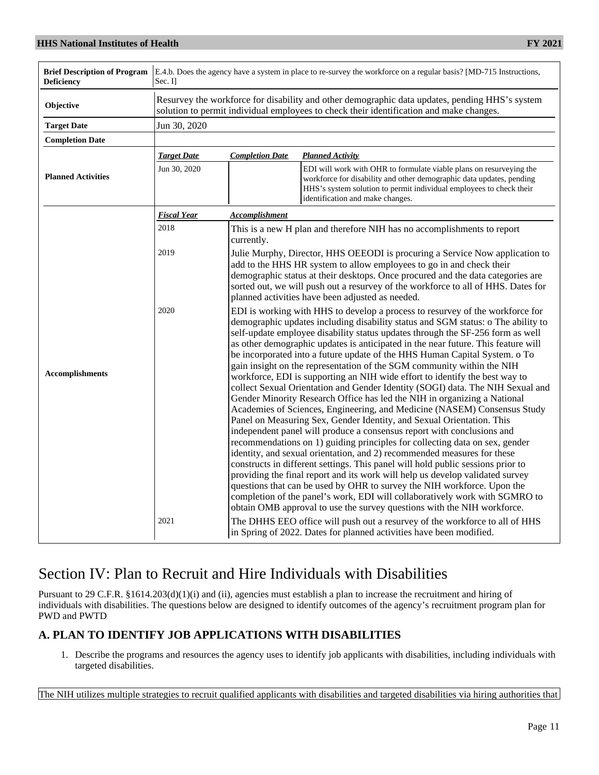| <b>Brief Description of Program</b><br><b>Deficiency</b> | E.4.b. Does the agency have a system in place to re-survey the workforce on a regular basis? [MD-715 Instructions,<br>Sec. Il |                                                                                                                                                                                                                                                                                                                                                                                                                                                                                                                                                                                                                                                                                                                                                                                                                                                                                                                                                                                                                                                                                                                                                                                                                                                                                                                                                                                                                                                                                                                                                                                                                                                                                                       |                                                                                                                                                                                                                                                        |  |  |  |  |
|----------------------------------------------------------|-------------------------------------------------------------------------------------------------------------------------------|-------------------------------------------------------------------------------------------------------------------------------------------------------------------------------------------------------------------------------------------------------------------------------------------------------------------------------------------------------------------------------------------------------------------------------------------------------------------------------------------------------------------------------------------------------------------------------------------------------------------------------------------------------------------------------------------------------------------------------------------------------------------------------------------------------------------------------------------------------------------------------------------------------------------------------------------------------------------------------------------------------------------------------------------------------------------------------------------------------------------------------------------------------------------------------------------------------------------------------------------------------------------------------------------------------------------------------------------------------------------------------------------------------------------------------------------------------------------------------------------------------------------------------------------------------------------------------------------------------------------------------------------------------------------------------------------------------|--------------------------------------------------------------------------------------------------------------------------------------------------------------------------------------------------------------------------------------------------------|--|--|--|--|
| Objective                                                |                                                                                                                               | Resurvey the workforce for disability and other demographic data updates, pending HHS's system<br>solution to permit individual employees to check their identification and make changes.                                                                                                                                                                                                                                                                                                                                                                                                                                                                                                                                                                                                                                                                                                                                                                                                                                                                                                                                                                                                                                                                                                                                                                                                                                                                                                                                                                                                                                                                                                             |                                                                                                                                                                                                                                                        |  |  |  |  |
| <b>Target Date</b>                                       | Jun 30, 2020                                                                                                                  |                                                                                                                                                                                                                                                                                                                                                                                                                                                                                                                                                                                                                                                                                                                                                                                                                                                                                                                                                                                                                                                                                                                                                                                                                                                                                                                                                                                                                                                                                                                                                                                                                                                                                                       |                                                                                                                                                                                                                                                        |  |  |  |  |
| <b>Completion Date</b>                                   |                                                                                                                               |                                                                                                                                                                                                                                                                                                                                                                                                                                                                                                                                                                                                                                                                                                                                                                                                                                                                                                                                                                                                                                                                                                                                                                                                                                                                                                                                                                                                                                                                                                                                                                                                                                                                                                       |                                                                                                                                                                                                                                                        |  |  |  |  |
|                                                          | <b>Target Date</b>                                                                                                            | <b>Completion Date</b>                                                                                                                                                                                                                                                                                                                                                                                                                                                                                                                                                                                                                                                                                                                                                                                                                                                                                                                                                                                                                                                                                                                                                                                                                                                                                                                                                                                                                                                                                                                                                                                                                                                                                | <b>Planned Activity</b>                                                                                                                                                                                                                                |  |  |  |  |
| <b>Planned Activities</b>                                | Jun 30, 2020                                                                                                                  |                                                                                                                                                                                                                                                                                                                                                                                                                                                                                                                                                                                                                                                                                                                                                                                                                                                                                                                                                                                                                                                                                                                                                                                                                                                                                                                                                                                                                                                                                                                                                                                                                                                                                                       | EDI will work with OHR to formulate viable plans on resurveying the<br>workforce for disability and other demographic data updates, pending<br>HHS's system solution to permit individual employees to check their<br>identification and make changes. |  |  |  |  |
|                                                          | <b>Fiscal Year</b>                                                                                                            | <b>Accomplishment</b>                                                                                                                                                                                                                                                                                                                                                                                                                                                                                                                                                                                                                                                                                                                                                                                                                                                                                                                                                                                                                                                                                                                                                                                                                                                                                                                                                                                                                                                                                                                                                                                                                                                                                 |                                                                                                                                                                                                                                                        |  |  |  |  |
|                                                          | 2018                                                                                                                          | currently.                                                                                                                                                                                                                                                                                                                                                                                                                                                                                                                                                                                                                                                                                                                                                                                                                                                                                                                                                                                                                                                                                                                                                                                                                                                                                                                                                                                                                                                                                                                                                                                                                                                                                            | This is a new H plan and therefore NIH has no accomplishments to report                                                                                                                                                                                |  |  |  |  |
|                                                          | 2019                                                                                                                          | Julie Murphy, Director, HHS OEEODI is procuring a Service Now application to<br>add to the HHS HR system to allow employees to go in and check their<br>demographic status at their desktops. Once procured and the data categories are<br>sorted out, we will push out a resurvey of the workforce to all of HHS. Dates for<br>planned activities have been adjusted as needed.                                                                                                                                                                                                                                                                                                                                                                                                                                                                                                                                                                                                                                                                                                                                                                                                                                                                                                                                                                                                                                                                                                                                                                                                                                                                                                                      |                                                                                                                                                                                                                                                        |  |  |  |  |
| <b>Accomplishments</b>                                   | 2020<br>2021                                                                                                                  | EDI is working with HHS to develop a process to resurvey of the workforce for<br>demographic updates including disability status and SGM status: o The ability to<br>self-update employee disability status updates through the SF-256 form as well<br>as other demographic updates is anticipated in the near future. This feature will<br>be incorporated into a future update of the HHS Human Capital System. o To<br>gain insight on the representation of the SGM community within the NIH<br>workforce, EDI is supporting an NIH wide effort to identify the best way to<br>collect Sexual Orientation and Gender Identity (SOGI) data. The NIH Sexual and<br>Gender Minority Research Office has led the NIH in organizing a National<br>Academies of Sciences, Engineering, and Medicine (NASEM) Consensus Study<br>Panel on Measuring Sex, Gender Identity, and Sexual Orientation. This<br>independent panel will produce a consensus report with conclusions and<br>recommendations on 1) guiding principles for collecting data on sex, gender<br>identity, and sexual orientation, and 2) recommended measures for these<br>constructs in different settings. This panel will hold public sessions prior to<br>providing the final report and its work will help us develop validated survey<br>questions that can be used by OHR to survey the NIH workforce. Upon the<br>completion of the panel's work, EDI will collaboratively work with SGMRO to<br>obtain OMB approval to use the survey questions with the NIH workforce.<br>The DHHS EEO office will push out a resurvey of the workforce to all of HHS<br>in Spring of 2022. Dates for planned activities have been modified. |                                                                                                                                                                                                                                                        |  |  |  |  |

# Section IV: Plan to Recruit and Hire Individuals with Disabilities

Pursuant to 29 C.F.R. §1614.203(d)(1)(i) and (ii), agencies must establish a plan to increase the recruitment and hiring of individuals with disabilities. The questions below are designed to identify outcomes of the agency's recruitment program plan for PWD and PWTD

# **A. PLAN TO IDENTIFY JOB APPLICATIONS WITH DISABILITIES**

1. Describe the programs and resources the agency uses to identify job applicants with disabilities, including individuals with targeted disabilities.

The NIH utilizes multiple strategies to recruit qualified applicants with disabilities and targeted disabilities via hiring authorities that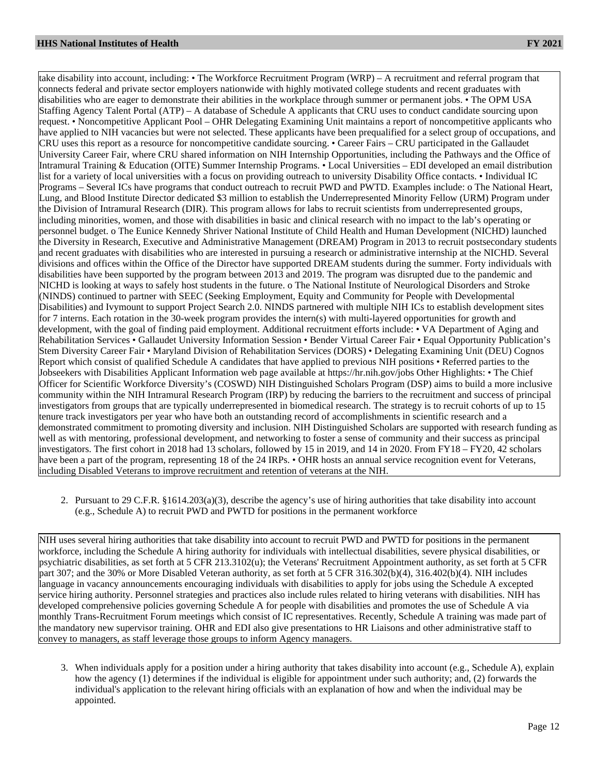take disability into account, including: • The Workforce Recruitment Program (WRP) – A recruitment and referral program that connects federal and private sector employers nationwide with highly motivated college students and recent graduates with disabilities who are eager to demonstrate their abilities in the workplace through summer or permanent jobs. • The OPM USA Staffing Agency Talent Portal (ATP) – A database of Schedule A applicants that CRU uses to conduct candidate sourcing upon request. • Noncompetitive Applicant Pool – OHR Delegating Examining Unit maintains a report of noncompetitive applicants who have applied to NIH vacancies but were not selected. These applicants have been prequalified for a select group of occupations, and CRU uses this report as a resource for noncompetitive candidate sourcing. • Career Fairs – CRU participated in the Gallaudet University Career Fair, where CRU shared information on NIH Internship Opportunities, including the Pathways and the Office of Intramural Training & Education (OITE) Summer Internship Programs. • Local Universities – EDI developed an email distribution list for a variety of local universities with a focus on providing outreach to university Disability Office contacts. • Individual IC Programs – Several ICs have programs that conduct outreach to recruit PWD and PWTD. Examples include: o The National Heart, Lung, and Blood Institute Director dedicated \$3 million to establish the Underrepresented Minority Fellow (URM) Program under the Division of Intramural Research (DIR). This program allows for labs to recruit scientists from underrepresented groups, including minorities, women, and those with disabilities in basic and clinical research with no impact to the lab's operating or personnel budget. o The Eunice Kennedy Shriver National Institute of Child Health and Human Development (NICHD) launched the Diversity in Research, Executive and Administrative Management (DREAM) Program in 2013 to recruit postsecondary students and recent graduates with disabilities who are interested in pursuing a research or administrative internship at the NICHD. Several divisions and offices within the Office of the Director have supported DREAM students during the summer. Forty individuals with disabilities have been supported by the program between 2013 and 2019. The program was disrupted due to the pandemic and NICHD is looking at ways to safely host students in the future. o The National Institute of Neurological Disorders and Stroke (NINDS) continued to partner with SEEC (Seeking Employment, Equity and Community for People with Developmental Disabilities) and Ivymount to support Project Search 2.0. NINDS partnered with multiple NIH ICs to establish development sites for 7 interns. Each rotation in the 30-week program provides the intern(s) with multi-layered opportunities for growth and development, with the goal of finding paid employment. Additional recruitment efforts include: • VA Department of Aging and Rehabilitation Services • Gallaudet University Information Session • Bender Virtual Career Fair • Equal Opportunity Publication's Stem Diversity Career Fair • Maryland Division of Rehabilitation Services (DORS) • Delegating Examining Unit (DEU) Cognos Report which consist of qualified Schedule A candidates that have applied to previous NIH positions • Referred parties to the Jobseekers with Disabilities Applicant Information web page available at https://hr.nih.gov/jobs Other Highlights: • The Chief Officer for Scientific Workforce Diversity's (COSWD) NIH Distinguished Scholars Program (DSP) aims to build a more inclusive community within the NIH Intramural Research Program (IRP) by reducing the barriers to the recruitment and success of principal investigators from groups that are typically underrepresented in biomedical research. The strategy is to recruit cohorts of up to 15 tenure track investigators per year who have both an outstanding record of accomplishments in scientific research and a demonstrated commitment to promoting diversity and inclusion. NIH Distinguished Scholars are supported with research funding as well as with mentoring, professional development, and networking to foster a sense of community and their success as principal investigators. The first cohort in 2018 had 13 scholars, followed by 15 in 2019, and 14 in 2020. From FY18 – FY20, 42 scholars have been a part of the program, representing 18 of the 24 IRPs. • OHR hosts an annual service recognition event for Veterans, including Disabled Veterans to improve recruitment and retention of veterans at the NIH.

2. Pursuant to 29 C.F.R. §1614.203(a)(3), describe the agency's use of hiring authorities that take disability into account (e.g., Schedule A) to recruit PWD and PWTD for positions in the permanent workforce

NIH uses several hiring authorities that take disability into account to recruit PWD and PWTD for positions in the permanent workforce, including the Schedule A hiring authority for individuals with intellectual disabilities, severe physical disabilities, or psychiatric disabilities, as set forth at 5 CFR 213.3102(u); the Veterans' Recruitment Appointment authority, as set forth at 5 CFR part 307; and the 30% or More Disabled Veteran authority, as set forth at 5 CFR 316.302(b)(4), 316.402(b)(4). NIH includes language in vacancy announcements encouraging individuals with disabilities to apply for jobs using the Schedule A excepted service hiring authority. Personnel strategies and practices also include rules related to hiring veterans with disabilities. NIH has developed comprehensive policies governing Schedule A for people with disabilities and promotes the use of Schedule A via monthly Trans-Recruitment Forum meetings which consist of IC representatives. Recently, Schedule A training was made part of the mandatory new supervisor training. OHR and EDI also give presentations to HR Liaisons and other administrative staff to convey to managers, as staff leverage those groups to inform Agency managers.

3. When individuals apply for a position under a hiring authority that takes disability into account (e.g., Schedule A), explain how the agency (1) determines if the individual is eligible for appointment under such authority; and, (2) forwards the individual's application to the relevant hiring officials with an explanation of how and when the individual may be appointed.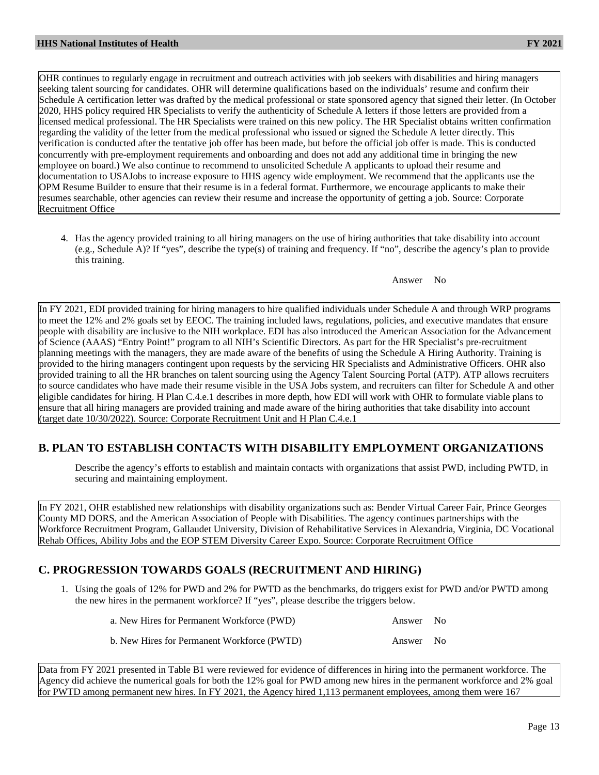OHR continues to regularly engage in recruitment and outreach activities with job seekers with disabilities and hiring managers seeking talent sourcing for candidates. OHR will determine qualifications based on the individuals' resume and confirm their Schedule A certification letter was drafted by the medical professional or state sponsored agency that signed their letter. (In October 2020, HHS policy required HR Specialists to verify the authenticity of Schedule A letters if those letters are provided from a licensed medical professional. The HR Specialists were trained on this new policy. The HR Specialist obtains written confirmation regarding the validity of the letter from the medical professional who issued or signed the Schedule A letter directly. This verification is conducted after the tentative job offer has been made, but before the official job offer is made. This is conducted concurrently with pre-employment requirements and onboarding and does not add any additional time in bringing the new employee on board.) We also continue to recommend to unsolicited Schedule A applicants to upload their resume and documentation to USAJobs to increase exposure to HHS agency wide employment. We recommend that the applicants use the OPM Resume Builder to ensure that their resume is in a federal format. Furthermore, we encourage applicants to make their resumes searchable, other agencies can review their resume and increase the opportunity of getting a job. Source: Corporate Recruitment Office

4. Has the agency provided training to all hiring managers on the use of hiring authorities that take disability into account (e.g., Schedule A)? If "yes", describe the type(s) of training and frequency. If "no", describe the agency's plan to provide this training.

In FY 2021, EDI provided training for hiring managers to hire qualified individuals under Schedule A and through WRP programs to meet the 12% and 2% goals set by EEOC. The training included laws, regulations, policies, and executive mandates that ensure people with disability are inclusive to the NIH workplace. EDI has also introduced the American Association for the Advancement of Science (AAAS) "Entry Point!" program to all NIH's Scientific Directors. As part for the HR Specialist's pre-recruitment planning meetings with the managers, they are made aware of the benefits of using the Schedule A Hiring Authority. Training is provided to the hiring managers contingent upon requests by the servicing HR Specialists and Administrative Officers. OHR also provided training to all the HR branches on talent sourcing using the Agency Talent Sourcing Portal (ATP). ATP allows recruiters to source candidates who have made their resume visible in the USA Jobs system, and recruiters can filter for Schedule A and other eligible candidates for hiring. H Plan C.4.e.1 describes in more depth, how EDI will work with OHR to formulate viable plans to ensure that all hiring managers are provided training and made aware of the hiring authorities that take disability into account (target date 10/30/2022). Source: Corporate Recruitment Unit and H Plan C.4.e.1

# **B. PLAN TO ESTABLISH CONTACTS WITH DISABILITY EMPLOYMENT ORGANIZATIONS**

Describe the agency's efforts to establish and maintain contacts with organizations that assist PWD, including PWTD, in securing and maintaining employment.

In FY 2021, OHR established new relationships with disability organizations such as: Bender Virtual Career Fair, Prince Georges County MD DORS, and the American Association of People with Disabilities. The agency continues partnerships with the Workforce Recruitment Program, Gallaudet University, Division of Rehabilitative Services in Alexandria, Virginia, DC Vocational Rehab Offices, Ability Jobs and the EOP STEM Diversity Career Expo. Source: Corporate Recruitment Office

# **C. PROGRESSION TOWARDS GOALS (RECRUITMENT AND HIRING)**

1. Using the goals of 12% for PWD and 2% for PWTD as the benchmarks, do triggers exist for PWD and/or PWTD among the new hires in the permanent workforce? If "yes", please describe the triggers below.

| a. New Hires for Permanent Workforce (PWD)  | Answer No |  |
|---------------------------------------------|-----------|--|
| b. New Hires for Permanent Workforce (PWTD) | Answer No |  |

Data from FY 2021 presented in Table B1 were reviewed for evidence of differences in hiring into the permanent workforce. The Agency did achieve the numerical goals for both the 12% goal for PWD among new hires in the permanent workforce and 2% goal for PWTD among permanent new hires. In FY 2021, the Agency hired 1,113 permanent employees, among them were 167

Answer No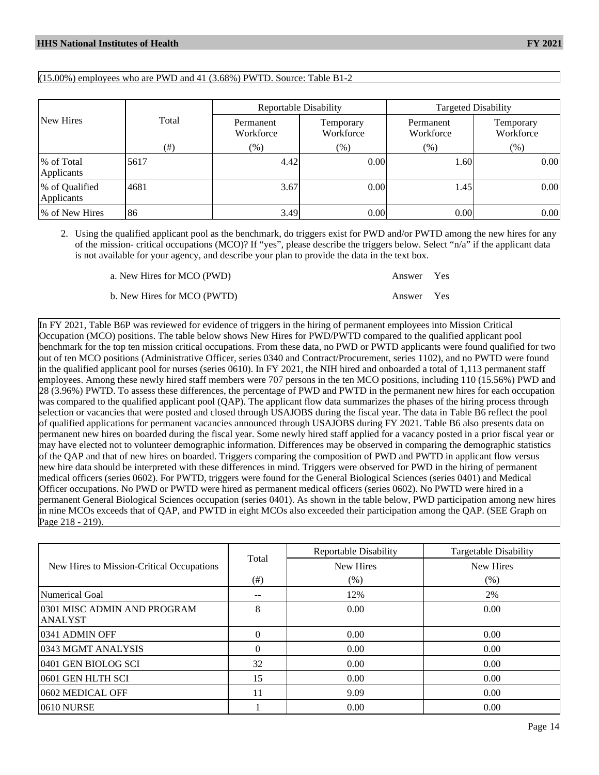$(15.00\%)$  employees who are PWD and 41  $(3.68\%)$  PWTD. Source: Table B1-2

|                              |        | <b>Reportable Disability</b> |                        | <b>Targeted Disability</b> |                        |  |
|------------------------------|--------|------------------------------|------------------------|----------------------------|------------------------|--|
| New Hires                    | Total  | Permanent<br>Workforce       | Temporary<br>Workforce | Permanent<br>Workforce     | Temporary<br>Workforce |  |
|                              | $(\#)$ | $(\%)$                       | $(\%)$                 | $(\%)$                     | $(\%)$                 |  |
| % of Total<br>Applicants     | 5617   | 4.42                         | 0.00                   | 1.60                       | 0.00                   |  |
| % of Qualified<br>Applicants | 4681   | 3.67                         | 0.00                   | 1.45                       | 0.00                   |  |
| % of New Hires               | 86     | 3.49                         | 0.00                   | 0.001                      | 0.00                   |  |

2. Using the qualified applicant pool as the benchmark, do triggers exist for PWD and/or PWTD among the new hires for any of the mission- critical occupations (MCO)? If "yes", please describe the triggers below. Select "n/a" if the applicant data is not available for your agency, and describe your plan to provide the data in the text box.

| a. New Hires for MCO (PWD)  | Answer Yes |  |
|-----------------------------|------------|--|
| b. New Hires for MCO (PWTD) | Answer Yes |  |

In FY 2021, Table B6P was reviewed for evidence of triggers in the hiring of permanent employees into Mission Critical Occupation (MCO) positions. The table below shows New Hires for PWD/PWTD compared to the qualified applicant pool benchmark for the top ten mission critical occupations. From these data, no PWD or PWTD applicants were found qualified for two out of ten MCO positions (Administrative Officer, series 0340 and Contract/Procurement, series 1102), and no PWTD were found in the qualified applicant pool for nurses (series 0610). In FY 2021, the NIH hired and onboarded a total of 1,113 permanent staff employees. Among these newly hired staff members were 707 persons in the ten MCO positions, including 110 (15.56%) PWD and 28 (3.96%) PWTD. To assess these differences, the percentage of PWD and PWTD in the permanent new hires for each occupation was compared to the qualified applicant pool (QAP). The applicant flow data summarizes the phases of the hiring process through selection or vacancies that were posted and closed through USAJOBS during the fiscal year. The data in Table B6 reflect the pool of qualified applications for permanent vacancies announced through USAJOBS during FY 2021. Table B6 also presents data on permanent new hires on boarded during the fiscal year. Some newly hired staff applied for a vacancy posted in a prior fiscal year or may have elected not to volunteer demographic information. Differences may be observed in comparing the demographic statistics of the QAP and that of new hires on boarded. Triggers comparing the composition of PWD and PWTD in applicant flow versus new hire data should be interpreted with these differences in mind. Triggers were observed for PWD in the hiring of permanent medical officers (series 0602). For PWTD, triggers were found for the General Biological Sciences (series 0401) and Medical Officer occupations. No PWD or PWTD were hired as permanent medical officers (series 0602). No PWTD were hired in a permanent General Biological Sciences occupation (series 0401). As shown in the table below, PWD participation among new hires in nine MCOs exceeds that of QAP, and PWTD in eight MCOs also exceeded their participation among the QAP. (SEE Graph on Page 218 - 219).

|                                               |          | <b>Reportable Disability</b> | <b>Targetable Disability</b> |
|-----------------------------------------------|----------|------------------------------|------------------------------|
| New Hires to Mission-Critical Occupations     | Total    | <b>New Hires</b>             | <b>New Hires</b>             |
|                                               | (# )     | $(\%)$                       | (% )                         |
| Numerical Goal                                |          | 12%                          | 2%                           |
| 0301 MISC ADMIN AND PROGRAM<br><b>ANALYST</b> | 8        | 0.00                         | 0.00                         |
| 0341 ADMIN OFF                                | $\Omega$ | 0.00                         | 0.00                         |
| 0343 MGMT ANALYSIS                            | $\Omega$ | 0.00                         | 0.00                         |
| 0401 GEN BIOLOG SCI                           | 32       | 0.00                         | 0.00                         |
| 0601 GEN HLTH SCI                             | 15       | 0.00                         | 0.00                         |
| 0602 MEDICAL OFF                              | 11       | 9.09                         | 0.00                         |
| 0610 NURSE                                    |          | 0.00                         | 0.00                         |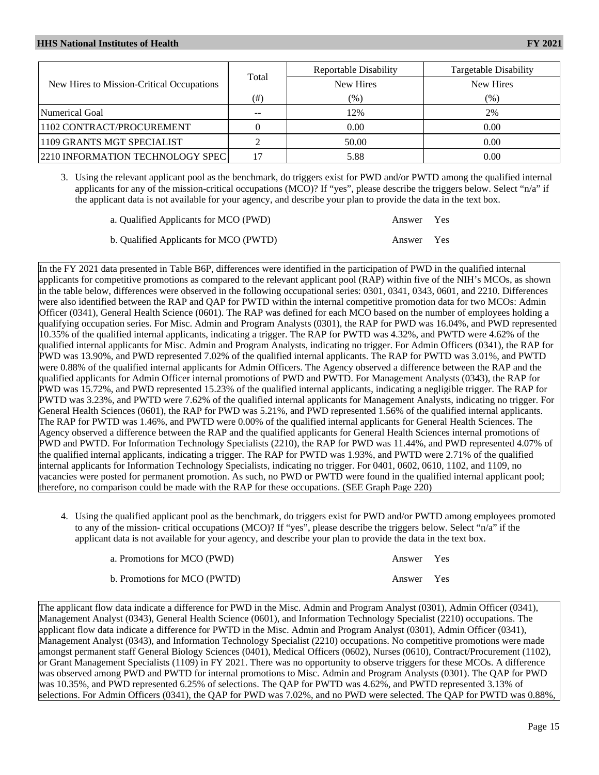|                                           |           | Reportable Disability | <b>Targetable Disability</b> |
|-------------------------------------------|-----------|-----------------------|------------------------------|
| New Hires to Mission-Critical Occupations | Total     | New Hires             | New Hires                    |
|                                           | $^{(\#)}$ | (%)                   | (%)                          |
| Numerical Goal                            | --        | 12%                   | 2%                           |
| 1102 CONTRACT/PROCUREMENT                 |           | 0.00                  | 0.00                         |
| 1109 GRANTS MGT SPECIALIST                |           | 50.00                 | 0.00                         |
| 2210 INFORMATION TECHNOLOGY SPEC          |           | 5.88                  | 0.00                         |

3. Using the relevant applicant pool as the benchmark, do triggers exist for PWD and/or PWTD among the qualified internal applicants for any of the mission-critical occupations (MCO)? If "yes", please describe the triggers below. Select "n/a" if the applicant data is not available for your agency, and describe your plan to provide the data in the text box.

| a. Qualified Applicants for MCO (PWD)  | Answer Yes |  |
|----------------------------------------|------------|--|
| b. Qualified Applicants for MCO (PWTD) | Answer Yes |  |

In the FY 2021 data presented in Table B6P, differences were identified in the participation of PWD in the qualified internal applicants for competitive promotions as compared to the relevant applicant pool (RAP) within five of the NIH's MCOs, as shown in the table below, differences were observed in the following occupational series: 0301, 0341, 0343, 0601, and 2210. Differences were also identified between the RAP and QAP for PWTD within the internal competitive promotion data for two MCOs: Admin Officer (0341), General Health Science (0601). The RAP was defined for each MCO based on the number of employees holding a qualifying occupation series. For Misc. Admin and Program Analysts (0301), the RAP for PWD was 16.04%, and PWD represented 10.35% of the qualified internal applicants, indicating a trigger. The RAP for PWTD was 4.32%, and PWTD were 4.62% of the qualified internal applicants for Misc. Admin and Program Analysts, indicating no trigger. For Admin Officers (0341), the RAP for PWD was 13.90%, and PWD represented 7.02% of the qualified internal applicants. The RAP for PWTD was 3.01%, and PWTD were 0.88% of the qualified internal applicants for Admin Officers. The Agency observed a difference between the RAP and the qualified applicants for Admin Officer internal promotions of PWD and PWTD. For Management Analysts (0343), the RAP for PWD was 15.72%, and PWD represented 15.23% of the qualified internal applicants, indicating a negligible trigger. The RAP for PWTD was 3.23%, and PWTD were 7.62% of the qualified internal applicants for Management Analysts, indicating no trigger. For General Health Sciences (0601), the RAP for PWD was 5.21%, and PWD represented 1.56% of the qualified internal applicants. The RAP for PWTD was 1.46%, and PWTD were 0.00% of the qualified internal applicants for General Health Sciences. The Agency observed a difference between the RAP and the qualified applicants for General Health Sciences internal promotions of PWD and PWTD. For Information Technology Specialists (2210), the RAP for PWD was 11.44%, and PWD represented 4.07% of the qualified internal applicants, indicating a trigger. The RAP for PWTD was 1.93%, and PWTD were 2.71% of the qualified internal applicants for Information Technology Specialists, indicating no trigger. For 0401, 0602, 0610, 1102, and 1109, no vacancies were posted for permanent promotion. As such, no PWD or PWTD were found in the qualified internal applicant pool; therefore, no comparison could be made with the RAP for these occupations. (SEE Graph Page 220)

4. Using the qualified applicant pool as the benchmark, do triggers exist for PWD and/or PWTD among employees promoted to any of the mission- critical occupations (MCO)? If "yes", please describe the triggers below. Select "n/a" if the applicant data is not available for your agency, and describe your plan to provide the data in the text box.

| a. Promotions for MCO (PWD)  | Answer Yes |  |
|------------------------------|------------|--|
| b. Promotions for MCO (PWTD) | Answer Yes |  |

The applicant flow data indicate a difference for PWD in the Misc. Admin and Program Analyst (0301), Admin Officer (0341), Management Analyst (0343), General Health Science (0601), and Information Technology Specialist (2210) occupations. The applicant flow data indicate a difference for PWTD in the Misc. Admin and Program Analyst (0301), Admin Officer (0341), Management Analyst (0343), and Information Technology Specialist (2210) occupations. No competitive promotions were made amongst permanent staff General Biology Sciences (0401), Medical Officers (0602), Nurses (0610), Contract/Procurement (1102), or Grant Management Specialists (1109) in FY 2021. There was no opportunity to observe triggers for these MCOs. A difference was observed among PWD and PWTD for internal promotions to Misc. Admin and Program Analysts (0301). The QAP for PWD was 10.35%, and PWD represented 6.25% of selections. The QAP for PWTD was 4.62%, and PWTD represented 3.13% of selections. For Admin Officers (0341), the QAP for PWD was 7.02%, and no PWD were selected. The QAP for PWTD was 0.88%,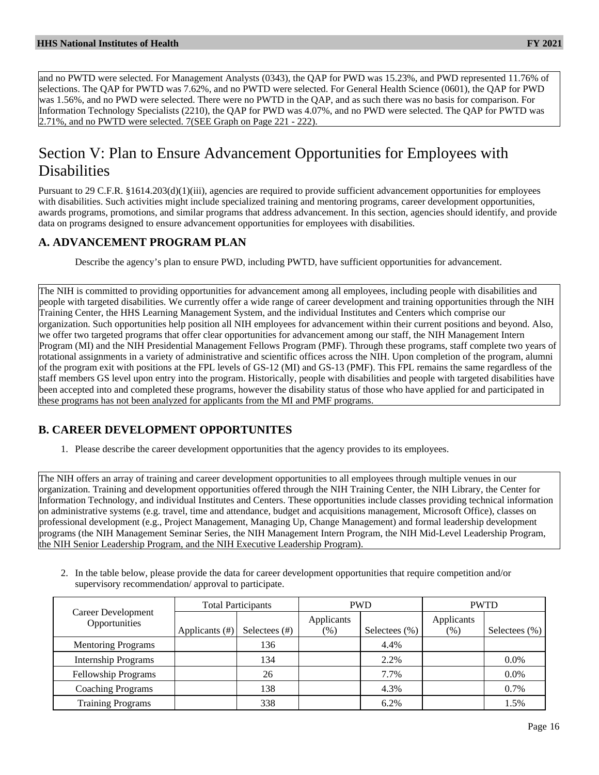and no PWTD were selected. For Management Analysts (0343), the QAP for PWD was 15.23%, and PWD represented 11.76% of selections. The QAP for PWTD was 7.62%, and no PWTD were selected. For General Health Science (0601), the QAP for PWD was 1.56%, and no PWD were selected. There were no PWTD in the QAP, and as such there was no basis for comparison. For Information Technology Specialists (2210), the QAP for PWD was 4.07%, and no PWD were selected. The QAP for PWTD was 2.71%, and no PWTD were selected. 7(SEE Graph on Page 221 - 222).

# Section V: Plan to Ensure Advancement Opportunities for Employees with **Disabilities**

Pursuant to 29 C.F.R. §1614.203(d)(1)(iii), agencies are required to provide sufficient advancement opportunities for employees with disabilities. Such activities might include specialized training and mentoring programs, career development opportunities, awards programs, promotions, and similar programs that address advancement. In this section, agencies should identify, and provide data on programs designed to ensure advancement opportunities for employees with disabilities.

## **A. ADVANCEMENT PROGRAM PLAN**

Describe the agency's plan to ensure PWD, including PWTD, have sufficient opportunities for advancement.

The NIH is committed to providing opportunities for advancement among all employees, including people with disabilities and people with targeted disabilities. We currently offer a wide range of career development and training opportunities through the NIH Training Center, the HHS Learning Management System, and the individual Institutes and Centers which comprise our organization. Such opportunities help position all NIH employees for advancement within their current positions and beyond. Also, we offer two targeted programs that offer clear opportunities for advancement among our staff, the NIH Management Intern Program (MI) and the NIH Presidential Management Fellows Program (PMF). Through these programs, staff complete two years of rotational assignments in a variety of administrative and scientific offices across the NIH. Upon completion of the program, alumni of the program exit with positions at the FPL levels of GS-12 (MI) and GS-13 (PMF). This FPL remains the same regardless of the staff members GS level upon entry into the program. Historically, people with disabilities and people with targeted disabilities have been accepted into and completed these programs, however the disability status of those who have applied for and participated in these programs has not been analyzed for applicants from the MI and PMF programs.

### **B. CAREER DEVELOPMENT OPPORTUNITES**

1. Please describe the career development opportunities that the agency provides to its employees.

The NIH offers an array of training and career development opportunities to all employees through multiple venues in our organization. Training and development opportunities offered through the NIH Training Center, the NIH Library, the Center for Information Technology, and individual Institutes and Centers. These opportunities include classes providing technical information on administrative systems (e.g. travel, time and attendance, budget and acquisitions management, Microsoft Office), classes on professional development (e.g., Project Management, Managing Up, Change Management) and formal leadership development programs (the NIH Management Seminar Series, the NIH Management Intern Program, the NIH Mid-Level Leadership Program, the NIH Senior Leadership Program, and the NIH Executive Leadership Program).

2. In the table below, please provide the data for career development opportunities that require competition and/or supervisory recommendation/ approval to participate.

|                                     | <b>Total Participants</b> |                  | <b>PWD</b>           |                   | <b>PWTD</b>        |                   |
|-------------------------------------|---------------------------|------------------|----------------------|-------------------|--------------------|-------------------|
| Career Development<br>Opportunities | Applicants $(\#)$         | Selectees $(\#)$ | Applicants<br>$(\%)$ | Selectees $(\% )$ | Applicants<br>(% ) | Selectees $(\% )$ |
| <b>Mentoring Programs</b>           |                           | 136              |                      | 4.4%              |                    |                   |
| <b>Internship Programs</b>          |                           | 134              |                      | 2.2%              |                    | 0.0%              |
| <b>Fellowship Programs</b>          |                           | 26               |                      | 7.7%              |                    | 0.0%              |
| <b>Coaching Programs</b>            |                           | 138              |                      | 4.3%              |                    | 0.7%              |
| <b>Training Programs</b>            |                           | 338              |                      | 6.2%              |                    | 1.5%              |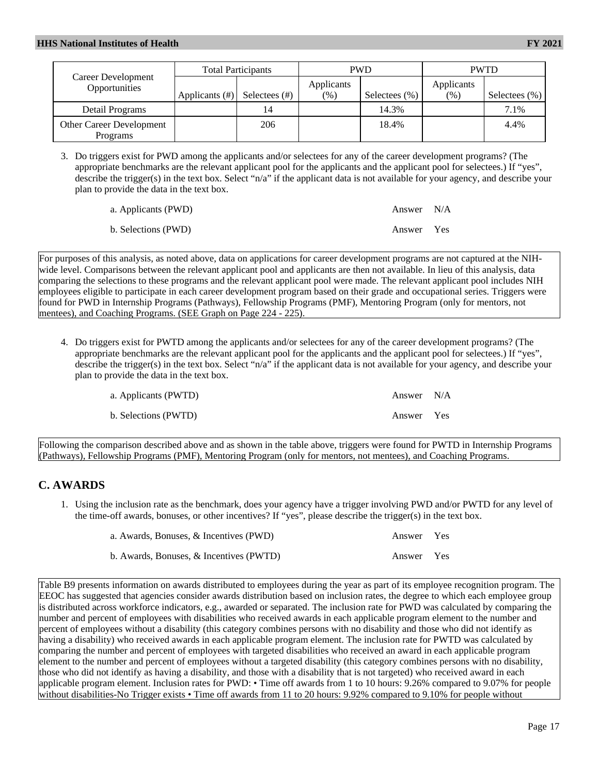|                                      | <b>Total Participants</b> |               | <b>PWD</b> |                  | <b>PWTD</b> |                   |
|--------------------------------------|---------------------------|---------------|------------|------------------|-------------|-------------------|
| Career Development<br>Opportunities  |                           |               | Applicants |                  | Applicants  |                   |
|                                      | Applicants $(\#)$         | Selectees (#) | (%)        | Selectees $(\%)$ | (%)         | Selectees $(\% )$ |
| Detail Programs                      |                           | 14            |            | 14.3%            |             | 7.1%              |
| Other Career Development<br>Programs |                           | 206           |            | 18.4%            |             | 4.4%              |

3. Do triggers exist for PWD among the applicants and/or selectees for any of the career development programs? (The appropriate benchmarks are the relevant applicant pool for the applicants and the applicant pool for selectees.) If "yes", describe the trigger(s) in the text box. Select "n/a" if the applicant data is not available for your agency, and describe your plan to provide the data in the text box.

| a. Applicants (PWD) | Answer N/A |  |
|---------------------|------------|--|
| b. Selections (PWD) | Answer Yes |  |

For purposes of this analysis, as noted above, data on applications for career development programs are not captured at the NIHwide level. Comparisons between the relevant applicant pool and applicants are then not available. In lieu of this analysis, data comparing the selections to these programs and the relevant applicant pool were made. The relevant applicant pool includes NIH employees eligible to participate in each career development program based on their grade and occupational series. Triggers were found for PWD in Internship Programs (Pathways), Fellowship Programs (PMF), Mentoring Program (only for mentors, not mentees), and Coaching Programs. (SEE Graph on Page 224 - 225).

4. Do triggers exist for PWTD among the applicants and/or selectees for any of the career development programs? (The appropriate benchmarks are the relevant applicant pool for the applicants and the applicant pool for selectees.) If "yes", describe the trigger(s) in the text box. Select "n/a" if the applicant data is not available for your agency, and describe your plan to provide the data in the text box.

| a. Applicants (PWTD) | Answer N/A |  |
|----------------------|------------|--|
| b. Selections (PWTD) | Answer Yes |  |

Following the comparison described above and as shown in the table above, triggers were found for PWTD in Internship Programs (Pathways), Fellowship Programs (PMF), Mentoring Program (only for mentors, not mentees), and Coaching Programs.

# **C. AWARDS**

1. Using the inclusion rate as the benchmark, does your agency have a trigger involving PWD and/or PWTD for any level of the time-off awards, bonuses, or other incentives? If "yes", please describe the trigger(s) in the text box.

| a. Awards, Bonuses, & Incentives (PWD)  | Answer Yes |  |
|-----------------------------------------|------------|--|
| b. Awards, Bonuses, & Incentives (PWTD) | Answer Yes |  |

Table B9 presents information on awards distributed to employees during the year as part of its employee recognition program. The EEOC has suggested that agencies consider awards distribution based on inclusion rates, the degree to which each employee group is distributed across workforce indicators, e.g., awarded or separated. The inclusion rate for PWD was calculated by comparing the number and percent of employees with disabilities who received awards in each applicable program element to the number and percent of employees without a disability (this category combines persons with no disability and those who did not identify as having a disability) who received awards in each applicable program element. The inclusion rate for PWTD was calculated by comparing the number and percent of employees with targeted disabilities who received an award in each applicable program element to the number and percent of employees without a targeted disability (this category combines persons with no disability, those who did not identify as having a disability, and those with a disability that is not targeted) who received award in each applicable program element. Inclusion rates for PWD: • Time off awards from 1 to 10 hours: 9.26% compared to 9.07% for people without disabilities-No Trigger exists • Time off awards from 11 to 20 hours: 9.92% compared to 9.10% for people without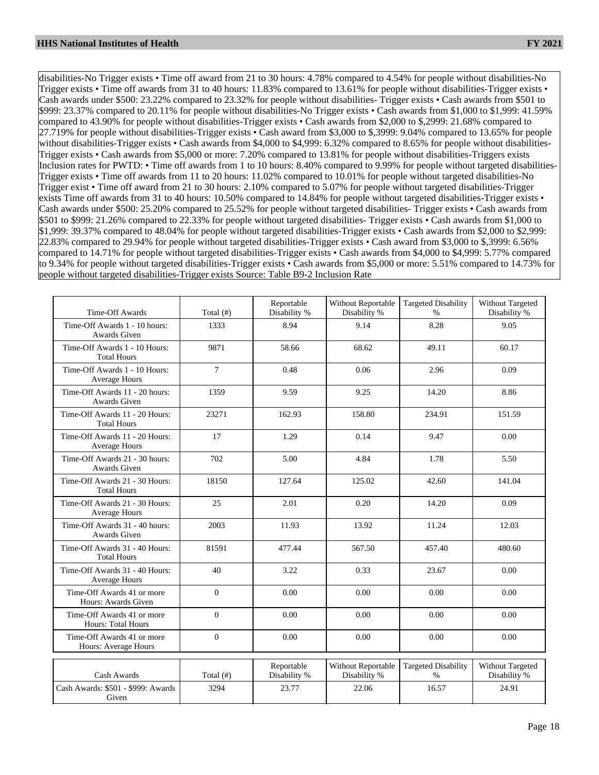disabilities-No Trigger exists • Time off award from 21 to 30 hours: 4.78% compared to 4.54% for people without disabilities-No Trigger exists • Time off awards from 31 to 40 hours: 11.83% compared to 13.61% for people without disabilities-Trigger exists • Cash awards under \$500: 23.22% compared to 23.32% for people without disabilities- Trigger exists • Cash awards from \$501 to \$999: 23.37% compared to 20.11% for people without disabilities-No Trigger exists • Cash awards from \$1,000 to \$1,999: 41.59% compared to 43.90% for people without disabilities-Trigger exists • Cash awards from \$2,000 to \$,2999: 21.68% compared to 27.719% for people without disabilities-Trigger exists • Cash award from \$3,000 to \$,3999: 9.04% compared to 13.65% for people without disabilities-Trigger exists • Cash awards from \$4,000 to \$4,999: 6.32% compared to 8.65% for people without disabilities-Trigger exists • Cash awards from \$5,000 or more: 7.20% compared to 13.81% for people without disabilities-Triggers exists Inclusion rates for PWTD: • Time off awards from 1 to 10 hours: 8.40% compared to 9.99% for people without targeted disabilities-Trigger exists • Time off awards from 11 to 20 hours: 11.02% compared to 10.01% for people without targeted disabilities-No Trigger exist • Time off award from 21 to 30 hours: 2.10% compared to 5.07% for people without targeted disabilities-Trigger exists Time off awards from 31 to 40 hours: 10.50% compared to 14.84% for people without targeted disabilities-Trigger exists • Cash awards under \$500: 25.20% compared to 25.52% for people without targeted disabilities- Trigger exists • Cash awards from \$501 to \$999: 21.26% compared to 22.33% for people without targeted disabilities- Trigger exists • Cash awards from \$1,000 to \$1,999: 39.37% compared to 48.04% for people without targeted disabilities-Trigger exists • Cash awards from \$2,000 to \$2,999: 22.83% compared to 29.94% for people without targeted disabilities-Trigger exists • Cash award from \$3,000 to \$,3999: 6.56% compared to 14.71% for people without targeted disabilities-Trigger exists • Cash awards from \$4,000 to \$4,999: 5.77% compared to 9.34% for people without targeted disabilities-Trigger exists • Cash awards from \$5,000 or more: 5.51% compared to 14.73% for people without targeted disabilities-Trigger exists Source: Table B9-2 Inclusion Rate

| Time-Off Awards                                         | Total $($ # $)$            | Reportable<br>Disability % | Without Reportable<br>Disability % | <b>Targeted Disability</b><br>$\%$ | Without Targeted<br>Disability % |
|---------------------------------------------------------|----------------------------|----------------------------|------------------------------------|------------------------------------|----------------------------------|
| Time-Off Awards 1 - 10 hours:<br>Awards Given           | 1333                       | 8.94                       | 9.14                               | 8.28                               | 9.05                             |
| Time-Off Awards 1 - 10 Hours:<br><b>Total Hours</b>     | 9871                       | 58.66                      | 68.62                              | 49.11                              | 60.17                            |
| Time-Off Awards 1 - 10 Hours:<br>Average Hours          | $\tau$                     | 0.48                       | 0.06                               | 2.96                               | 0.09                             |
| Time-Off Awards 11 - 20 hours:<br>Awards Given          | 1359                       | 9.59                       | 9.25                               | 14.20                              | 8.86                             |
| Time-Off Awards 11 - 20 Hours:<br><b>Total Hours</b>    | 23271                      | 162.93                     | 158.80                             | 234.91                             | 151.59                           |
| Time-Off Awards 11 - 20 Hours:<br>Average Hours         | 17                         | 1.29                       | 0.14                               | 9.47                               | 0.00                             |
| Time-Off Awards 21 - 30 hours:<br>Awards Given          | 702                        | 5.00                       | 4.84                               | 1.78                               | 5.50                             |
| Time-Off Awards 21 - 30 Hours:<br><b>Total Hours</b>    | 18150                      | 127.64                     | 125.02                             | 42.60                              | 141.04                           |
| Time-Off Awards 21 - 30 Hours:<br>Average Hours         | 25                         | 2.01                       | 0.20                               | 14.20                              | 0.09                             |
| Time-Off Awards 31 - 40 hours:<br><b>Awards Given</b>   | 2003                       | 11.93                      | 13.92                              | 11.24                              | 12.03                            |
| Time-Off Awards 31 - 40 Hours:<br><b>Total Hours</b>    | 81591                      | 477.44                     | 567.50                             | 457.40                             | 480.60                           |
| Time-Off Awards 31 - 40 Hours:<br>Average Hours         | 40                         | 3.22                       | 0.33                               | 23.67                              | 0.00                             |
| Time-Off Awards 41 or more<br>Hours: Awards Given       | $\overline{0}$             | 0.00                       | 0.00                               | 0.00                               | 0.00                             |
| Time-Off Awards 41 or more<br><b>Hours: Total Hours</b> | $\Omega$                   | 0.00                       | 0.00                               | 0.00                               | 0.00                             |
| Time-Off Awards 41 or more<br>Hours: Average Hours      | $\overline{0}$             | 0.00                       | 0.00                               | 0.00                               | 0.00                             |
|                                                         |                            | Reportable                 | Without Reportable                 | <b>Targeted Disability</b>         | Without Targeted                 |
| Cash Awards                                             | Total $($ # <sup>2</sup> ) | Disability %               | Disability %                       | $\%$                               | Disability %                     |
| Cash Awards: \$501 - \$999: Awards<br>Given             | 3294                       | 23.77                      | 22.06                              | 16.57                              | 24.91                            |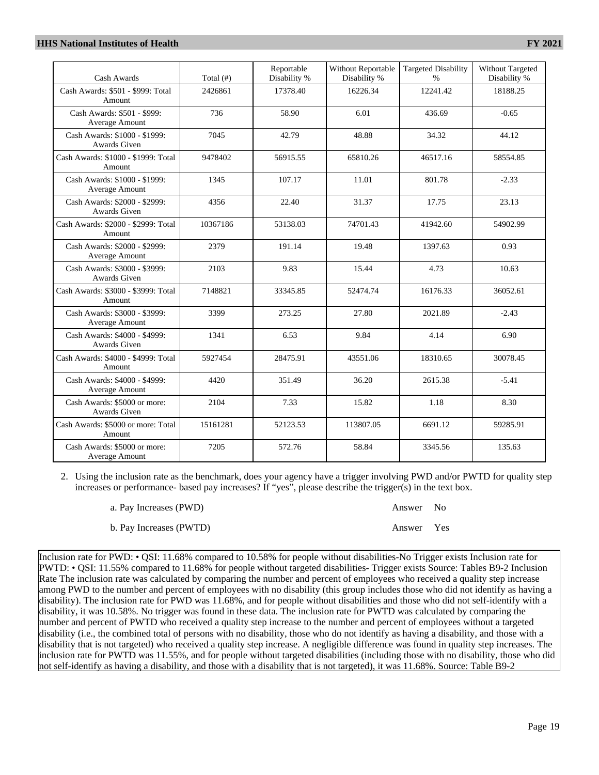| Cash Awards                                     | Total $(f#)$ | Reportable<br>Disability % | <b>Without Reportable</b><br>Disability % | <b>Targeted Disability</b><br>$\%$ | Without Targeted<br>Disability % |
|-------------------------------------------------|--------------|----------------------------|-------------------------------------------|------------------------------------|----------------------------------|
| Cash Awards: \$501 - \$999: Total<br>Amount     | 2426861      | 17378.40                   | 16226.34                                  | 12241.42                           | 18188.25                         |
| Cash Awards: \$501 - \$999:<br>Average Amount   | 736          | 58.90                      | 6.01                                      | 436.69                             | $-0.65$                          |
| Cash Awards: \$1000 - \$1999:<br>Awards Given   | 7045         | 42.79                      | 48.88                                     | 34.32                              | 44.12                            |
| Cash Awards: \$1000 - \$1999: Total<br>Amount   | 9478402      | 56915.55                   | 65810.26                                  | 46517.16                           | 58554.85                         |
| Cash Awards: \$1000 - \$1999:<br>Average Amount | 1345         | 107.17                     | 11.01                                     | 801.78                             | $-2.33$                          |
| Cash Awards: \$2000 - \$2999:<br>Awards Given   | 4356         | 22.40                      | 31.37                                     | 17.75                              | 23.13                            |
| Cash Awards: \$2000 - \$2999: Total<br>Amount   | 10367186     | 53138.03                   | 74701.43                                  | 41942.60                           | 54902.99                         |
| Cash Awards: \$2000 - \$2999:<br>Average Amount | 2379         | 191.14                     | 19.48                                     | 1397.63                            | 0.93                             |
| Cash Awards: \$3000 - \$3999:<br>Awards Given   | 2103         | 9.83                       | 15.44                                     | 4.73                               | 10.63                            |
| Cash Awards: \$3000 - \$3999: Total<br>Amount   | 7148821      | 33345.85                   | 52474.74                                  | 16176.33                           | 36052.61                         |
| Cash Awards: \$3000 - \$3999:<br>Average Amount | 3399         | 273.25                     | 27.80                                     | 2021.89                            | $-2.43$                          |
| Cash Awards: \$4000 - \$4999:<br>Awards Given   | 1341         | 6.53                       | 9.84                                      | 4.14                               | 6.90                             |
| Cash Awards: \$4000 - \$4999: Total<br>Amount   | 5927454      | 28475.91                   | 43551.06                                  | 18310.65                           | 30078.45                         |
| Cash Awards: \$4000 - \$4999:<br>Average Amount | 4420         | 351.49                     | 36.20                                     | 2615.38                            | $-5.41$                          |
| Cash Awards: \$5000 or more:<br>Awards Given    | 2104         | 7.33                       | 15.82                                     | 1.18                               | 8.30                             |
| Cash Awards: \$5000 or more: Total<br>Amount    | 15161281     | 52123.53                   | 113807.05                                 | 6691.12                            | 59285.91                         |
| Cash Awards: \$5000 or more:<br>Average Amount  | 7205         | 572.76                     | 58.84                                     | 3345.56                            | 135.63                           |

2. Using the inclusion rate as the benchmark, does your agency have a trigger involving PWD and/or PWTD for quality step increases or performance- based pay increases? If "yes", please describe the trigger(s) in the text box.

| a. Pay Increases (PWD)  | Answer No  |  |
|-------------------------|------------|--|
| b. Pay Increases (PWTD) | Answer Yes |  |

Inclusion rate for PWD: • QSI: 11.68% compared to 10.58% for people without disabilities-No Trigger exists Inclusion rate for PWTD: • QSI: 11.55% compared to 11.68% for people without targeted disabilities- Trigger exists Source: Tables B9-2 Inclusion Rate The inclusion rate was calculated by comparing the number and percent of employees who received a quality step increase among PWD to the number and percent of employees with no disability (this group includes those who did not identify as having a disability). The inclusion rate for PWD was 11.68%, and for people without disabilities and those who did not self-identify with a disability, it was 10.58%. No trigger was found in these data. The inclusion rate for PWTD was calculated by comparing the number and percent of PWTD who received a quality step increase to the number and percent of employees without a targeted disability (i.e., the combined total of persons with no disability, those who do not identify as having a disability, and those with a disability that is not targeted) who received a quality step increase. A negligible difference was found in quality step increases. The inclusion rate for PWTD was 11.55%, and for people without targeted disabilities (including those with no disability, those who did not self-identify as having a disability, and those with a disability that is not targeted), it was 11.68%. Source: Table B9-2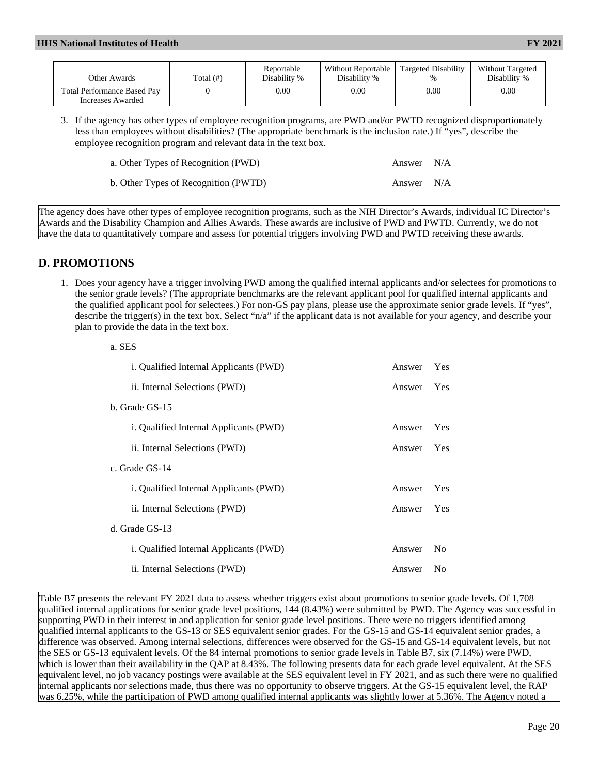| Other Awards                                            | Total(f) | Reportable<br>Disability % | Without Reportable<br>Disability % | Targeted Disability<br>$\%$ | <b>Without Targeted</b><br>Disability % |
|---------------------------------------------------------|----------|----------------------------|------------------------------------|-----------------------------|-----------------------------------------|
| <b>Total Performance Based Pay</b><br>Increases Awarded |          | 0.00                       | 0.00                               | $0.00\,$                    | 0.00                                    |

3. If the agency has other types of employee recognition programs, are PWD and/or PWTD recognized disproportionately less than employees without disabilities? (The appropriate benchmark is the inclusion rate.) If "yes", describe the employee recognition program and relevant data in the text box.

| a. Other Types of Recognition (PWD)  | Answer N/A |  |
|--------------------------------------|------------|--|
| b. Other Types of Recognition (PWTD) | Answer N/A |  |

The agency does have other types of employee recognition programs, such as the NIH Director's Awards, individual IC Director's Awards and the Disability Champion and Allies Awards. These awards are inclusive of PWD and PWTD. Currently, we do not have the data to quantitatively compare and assess for potential triggers involving PWD and PWTD receiving these awards.

## **D. PROMOTIONS**

a. SES

1. Does your agency have a trigger involving PWD among the qualified internal applicants and/or selectees for promotions to the senior grade levels? (The appropriate benchmarks are the relevant applicant pool for qualified internal applicants and the qualified applicant pool for selectees.) For non-GS pay plans, please use the approximate senior grade levels. If "yes", describe the trigger(s) in the text box. Select "n/a" if the applicant data is not available for your agency, and describe your plan to provide the data in the text box.

| i. Qualified Internal Applicants (PWD)        | Answer | Yes |
|-----------------------------------------------|--------|-----|
| ii. Internal Selections (PWD)                 | Answer | Yes |
| b. Grade GS-15                                |        |     |
| i. Qualified Internal Applicants (PWD)        | Answer | Yes |
| ii. Internal Selections (PWD)                 | Answer | Yes |
| c. Grade GS-14                                |        |     |
| <i>i.</i> Qualified Internal Applicants (PWD) | Answer | Yes |
| ii. Internal Selections (PWD)                 | Answer | Yes |
| d. Grade GS-13                                |        |     |
| i. Qualified Internal Applicants (PWD)        | Answer | No  |
| ii. Internal Selections (PWD)                 | Answer | No  |
|                                               |        |     |

Table B7 presents the relevant FY 2021 data to assess whether triggers exist about promotions to senior grade levels. Of 1,708 qualified internal applications for senior grade level positions, 144 (8.43%) were submitted by PWD. The Agency was successful in supporting PWD in their interest in and application for senior grade level positions. There were no triggers identified among qualified internal applicants to the GS-13 or SES equivalent senior grades. For the GS-15 and GS-14 equivalent senior grades, a difference was observed. Among internal selections, differences were observed for the GS-15 and GS-14 equivalent levels, but not the SES or GS-13 equivalent levels. Of the 84 internal promotions to senior grade levels in Table B7, six (7.14%) were PWD, which is lower than their availability in the QAP at 8.43%. The following presents data for each grade level equivalent. At the SES equivalent level, no job vacancy postings were available at the SES equivalent level in FY 2021, and as such there were no qualified internal applicants nor selections made, thus there was no opportunity to observe triggers. At the GS-15 equivalent level, the RAP was 6.25%, while the participation of PWD among qualified internal applicants was slightly lower at 5.36%. The Agency noted a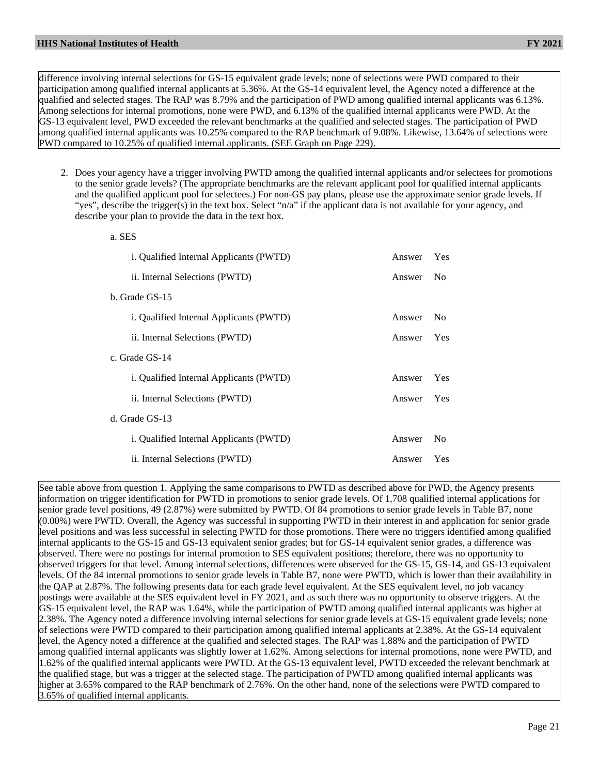difference involving internal selections for GS-15 equivalent grade levels; none of selections were PWD compared to their participation among qualified internal applicants at 5.36%. At the GS-14 equivalent level, the Agency noted a difference at the qualified and selected stages. The RAP was 8.79% and the participation of PWD among qualified internal applicants was 6.13%. Among selections for internal promotions, none were PWD, and 6.13% of the qualified internal applicants were PWD. At the GS-13 equivalent level, PWD exceeded the relevant benchmarks at the qualified and selected stages. The participation of PWD among qualified internal applicants was 10.25% compared to the RAP benchmark of 9.08%. Likewise, 13.64% of selections were PWD compared to 10.25% of qualified internal applicants. (SEE Graph on Page 229).

2. Does your agency have a trigger involving PWTD among the qualified internal applicants and/or selectees for promotions to the senior grade levels? (The appropriate benchmarks are the relevant applicant pool for qualified internal applicants and the qualified applicant pool for selectees.) For non-GS pay plans, please use the approximate senior grade levels. If "yes", describe the trigger(s) in the text box. Select "n/a" if the applicant data is not available for your agency, and describe your plan to provide the data in the text box.

| a. SES                                  |        |                |
|-----------------------------------------|--------|----------------|
| i. Qualified Internal Applicants (PWTD) | Answer | - Yes          |
| ii. Internal Selections (PWTD)          | Answer | No             |
| b. Grade GS-15                          |        |                |
| i. Qualified Internal Applicants (PWTD) | Answer | N <sub>0</sub> |
| ii. Internal Selections (PWTD)          | Answer | Yes            |
| c. Grade GS-14                          |        |                |
| i. Qualified Internal Applicants (PWTD) | Answer | Yes            |
| ii. Internal Selections (PWTD)          | Answer | Yes            |
| d. Grade GS-13                          |        |                |
| i. Qualified Internal Applicants (PWTD) | Answer | No             |
| ii. Internal Selections (PWTD)          | Answer | Yes            |

See table above from question 1. Applying the same comparisons to PWTD as described above for PWD, the Agency presents information on trigger identification for PWTD in promotions to senior grade levels. Of 1,708 qualified internal applications for senior grade level positions, 49 (2.87%) were submitted by PWTD. Of 84 promotions to senior grade levels in Table B7, none (0.00%) were PWTD. Overall, the Agency was successful in supporting PWTD in their interest in and application for senior grade level positions and was less successful in selecting PWTD for those promotions. There were no triggers identified among qualified internal applicants to the GS-15 and GS-13 equivalent senior grades; but for GS-14 equivalent senior grades, a difference was observed. There were no postings for internal promotion to SES equivalent positions; therefore, there was no opportunity to observed triggers for that level. Among internal selections, differences were observed for the GS-15, GS-14, and GS-13 equivalent levels. Of the 84 internal promotions to senior grade levels in Table B7, none were PWTD, which is lower than their availability in the QAP at 2.87%. The following presents data for each grade level equivalent. At the SES equivalent level, no job vacancy postings were available at the SES equivalent level in FY 2021, and as such there was no opportunity to observe triggers. At the GS-15 equivalent level, the RAP was 1.64%, while the participation of PWTD among qualified internal applicants was higher at 2.38%. The Agency noted a difference involving internal selections for senior grade levels at GS-15 equivalent grade levels; none of selections were PWTD compared to their participation among qualified internal applicants at 2.38%. At the GS-14 equivalent level, the Agency noted a difference at the qualified and selected stages. The RAP was 1.88% and the participation of PWTD among qualified internal applicants was slightly lower at 1.62%. Among selections for internal promotions, none were PWTD, and 1.62% of the qualified internal applicants were PWTD. At the GS-13 equivalent level, PWTD exceeded the relevant benchmark at the qualified stage, but was a trigger at the selected stage. The participation of PWTD among qualified internal applicants was higher at 3.65% compared to the RAP benchmark of 2.76%. On the other hand, none of the selections were PWTD compared to 3.65% of qualified internal applicants.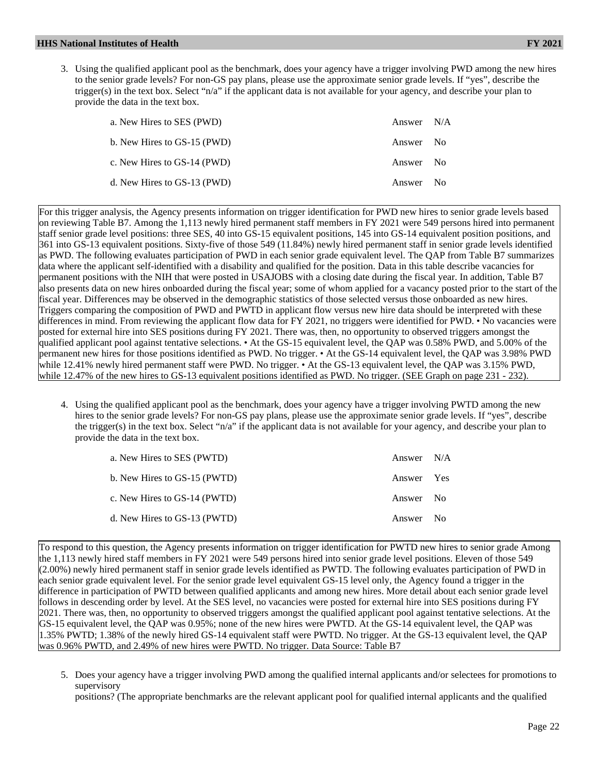3. Using the qualified applicant pool as the benchmark, does your agency have a trigger involving PWD among the new hires to the senior grade levels? For non-GS pay plans, please use the approximate senior grade levels. If "yes", describe the trigger(s) in the text box. Select "n/a" if the applicant data is not available for your agency, and describe your plan to provide the data in the text box.

| a. New Hires to SES (PWD)   | Answer N/A |      |
|-----------------------------|------------|------|
| b. New Hires to GS-15 (PWD) | Answer No  |      |
| c. New Hires to GS-14 (PWD) | Answer No  |      |
| d. New Hires to GS-13 (PWD) | Answer     | - No |

For this trigger analysis, the Agency presents information on trigger identification for PWD new hires to senior grade levels based on reviewing Table B7. Among the 1,113 newly hired permanent staff members in FY 2021 were 549 persons hired into permanent staff senior grade level positions: three SES, 40 into GS-15 equivalent positions, 145 into GS-14 equivalent position positions, and 361 into GS-13 equivalent positions. Sixty-five of those 549 (11.84%) newly hired permanent staff in senior grade levels identified as PWD. The following evaluates participation of PWD in each senior grade equivalent level. The QAP from Table B7 summarizes data where the applicant self-identified with a disability and qualified for the position. Data in this table describe vacancies for permanent positions with the NIH that were posted in USAJOBS with a closing date during the fiscal year. In addition, Table B7 also presents data on new hires onboarded during the fiscal year; some of whom applied for a vacancy posted prior to the start of the fiscal year. Differences may be observed in the demographic statistics of those selected versus those onboarded as new hires. Triggers comparing the composition of PWD and PWTD in applicant flow versus new hire data should be interpreted with these differences in mind. From reviewing the applicant flow data for FY 2021, no triggers were identified for PWD. • No vacancies were posted for external hire into SES positions during FY 2021. There was, then, no opportunity to observed triggers amongst the qualified applicant pool against tentative selections. • At the GS-15 equivalent level, the QAP was 0.58% PWD, and 5.00% of the permanent new hires for those positions identified as PWD. No trigger. • At the GS-14 equivalent level, the QAP was 3.98% PWD while 12.41% newly hired permanent staff were PWD. No trigger. • At the GS-13 equivalent level, the QAP was 3.15% PWD, while 12.47% of the new hires to GS-13 equivalent positions identified as PWD. No trigger. (SEE Graph on page 231 - 232).

4. Using the qualified applicant pool as the benchmark, does your agency have a trigger involving PWTD among the new hires to the senior grade levels? For non-GS pay plans, please use the approximate senior grade levels. If "yes", describe the trigger(s) in the text box. Select "n/a" if the applicant data is not available for your agency, and describe your plan to provide the data in the text box.

| a. New Hires to SES (PWTD)   | Answer N/A |  |
|------------------------------|------------|--|
| b. New Hires to GS-15 (PWTD) | Answer Yes |  |
| c. New Hires to GS-14 (PWTD) | Answer No  |  |
| d. New Hires to GS-13 (PWTD) | Answer No  |  |

To respond to this question, the Agency presents information on trigger identification for PWTD new hires to senior grade Among the 1,113 newly hired staff members in FY 2021 were 549 persons hired into senior grade level positions. Eleven of those 549 (2.00%) newly hired permanent staff in senior grade levels identified as PWTD. The following evaluates participation of PWD in each senior grade equivalent level. For the senior grade level equivalent GS-15 level only, the Agency found a trigger in the difference in participation of PWTD between qualified applicants and among new hires. More detail about each senior grade level follows in descending order by level. At the SES level, no vacancies were posted for external hire into SES positions during FY 2021. There was, then, no opportunity to observed triggers amongst the qualified applicant pool against tentative selections. At the GS-15 equivalent level, the QAP was 0.95%; none of the new hires were PWTD. At the GS-14 equivalent level, the QAP was 1.35% PWTD; 1.38% of the newly hired GS-14 equivalent staff were PWTD. No trigger. At the GS-13 equivalent level, the QAP was 0.96% PWTD, and 2.49% of new hires were PWTD. No trigger. Data Source: Table B7

5. Does your agency have a trigger involving PWD among the qualified internal applicants and/or selectees for promotions to supervisory

positions? (The appropriate benchmarks are the relevant applicant pool for qualified internal applicants and the qualified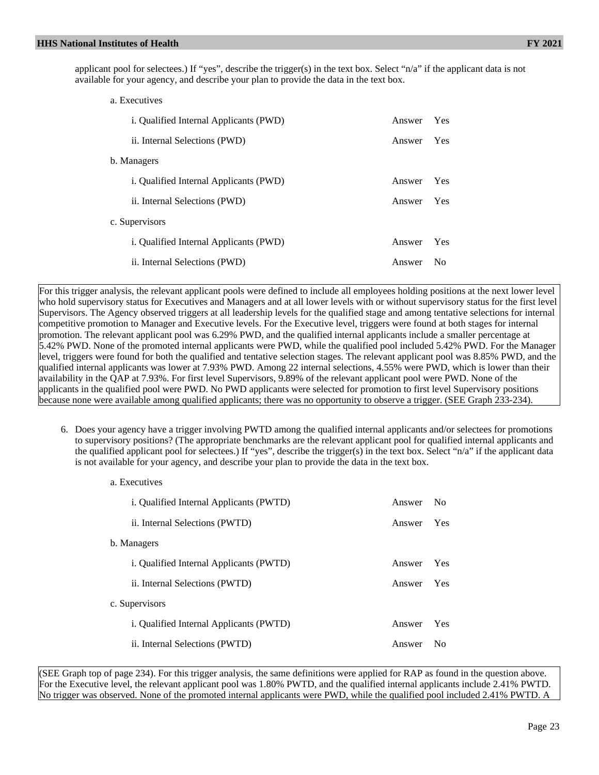applicant pool for selectees.) If "yes", describe the trigger(s) in the text box. Select "n/a" if the applicant data is not available for your agency, and describe your plan to provide the data in the text box.

| a. Executives                                 |        |            |
|-----------------------------------------------|--------|------------|
| <i>i.</i> Qualified Internal Applicants (PWD) | Answer | Yes        |
| ii. Internal Selections (PWD)                 | Answer | Yes        |
| b. Managers                                   |        |            |
| <i>i.</i> Qualified Internal Applicants (PWD) | Answer | <b>Yes</b> |
| ii. Internal Selections (PWD)                 | Answer | Yes        |
| c. Supervisors                                |        |            |
| <i>i.</i> Qualified Internal Applicants (PWD) | Answer | Yes        |
| ii. Internal Selections (PWD)                 | Answer | No         |

For this trigger analysis, the relevant applicant pools were defined to include all employees holding positions at the next lower level who hold supervisory status for Executives and Managers and at all lower levels with or without supervisory status for the first level Supervisors. The Agency observed triggers at all leadership levels for the qualified stage and among tentative selections for internal competitive promotion to Manager and Executive levels. For the Executive level, triggers were found at both stages for internal promotion. The relevant applicant pool was 6.29% PWD, and the qualified internal applicants include a smaller percentage at 5.42% PWD. None of the promoted internal applicants were PWD, while the qualified pool included 5.42% PWD. For the Manager level, triggers were found for both the qualified and tentative selection stages. The relevant applicant pool was 8.85% PWD, and the qualified internal applicants was lower at 7.93% PWD. Among 22 internal selections, 4.55% were PWD, which is lower than their availability in the QAP at 7.93%. For first level Supervisors, 9.89% of the relevant applicant pool were PWD. None of the applicants in the qualified pool were PWD. No PWD applicants were selected for promotion to first level Supervisory positions because none were available among qualified applicants; there was no opportunity to observe a trigger. (SEE Graph 233-234).

6. Does your agency have a trigger involving PWTD among the qualified internal applicants and/or selectees for promotions to supervisory positions? (The appropriate benchmarks are the relevant applicant pool for qualified internal applicants and the qualified applicant pool for selectees.) If "yes", describe the trigger(s) in the text box. Select "n/a" if the applicant data is not available for your agency, and describe your plan to provide the data in the text box.

| a. Executives                                     |        |     |  |  |  |
|---------------------------------------------------|--------|-----|--|--|--|
| i. Qualified Internal Applicants (PWTD)<br>Answer |        |     |  |  |  |
| ii. Internal Selections (PWTD)<br>Answer          |        |     |  |  |  |
| b. Managers                                       |        |     |  |  |  |
| i. Qualified Internal Applicants (PWTD)<br>Answer |        |     |  |  |  |
| ii. Internal Selections (PWTD)<br>Answer          |        |     |  |  |  |
| c. Supervisors                                    |        |     |  |  |  |
| i. Qualified Internal Applicants (PWTD)           | Answer | Yes |  |  |  |
| ii. Internal Selections (PWTD)                    | Answer | Nο  |  |  |  |

(SEE Graph top of page 234). For this trigger analysis, the same definitions were applied for RAP as found in the question above. For the Executive level, the relevant applicant pool was 1.80% PWTD, and the qualified internal applicants include 2.41% PWTD. No trigger was observed. None of the promoted internal applicants were PWD, while the qualified pool included 2.41% PWTD. A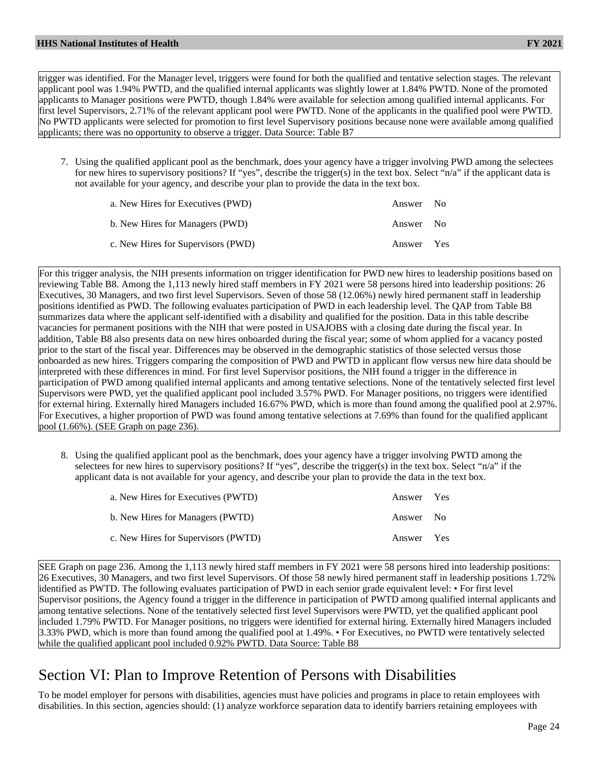trigger was identified. For the Manager level, triggers were found for both the qualified and tentative selection stages. The relevant applicant pool was 1.94% PWTD, and the qualified internal applicants was slightly lower at 1.84% PWTD. None of the promoted applicants to Manager positions were PWTD, though 1.84% were available for selection among qualified internal applicants. For first level Supervisors, 2.71% of the relevant applicant pool were PWTD. None of the applicants in the qualified pool were PWTD. No PWTD applicants were selected for promotion to first level Supervisory positions because none were available among qualified applicants; there was no opportunity to observe a trigger. Data Source: Table B7

7. Using the qualified applicant pool as the benchmark, does your agency have a trigger involving PWD among the selectees for new hires to supervisory positions? If "yes", describe the trigger(s) in the text box. Select "n/a" if the applicant data is not available for your agency, and describe your plan to provide the data in the text box.

| a. New Hires for Executives (PWD)  | Answer No  |  |
|------------------------------------|------------|--|
| b. New Hires for Managers (PWD)    | Answer No  |  |
| c. New Hires for Supervisors (PWD) | Answer Yes |  |

For this trigger analysis, the NIH presents information on trigger identification for PWD new hires to leadership positions based on reviewing Table B8. Among the 1,113 newly hired staff members in FY 2021 were 58 persons hired into leadership positions: 26 Executives, 30 Managers, and two first level Supervisors. Seven of those 58 (12.06%) newly hired permanent staff in leadership positions identified as PWD. The following evaluates participation of PWD in each leadership level. The QAP from Table B8 summarizes data where the applicant self-identified with a disability and qualified for the position. Data in this table describe vacancies for permanent positions with the NIH that were posted in USAJOBS with a closing date during the fiscal year. In addition, Table B8 also presents data on new hires onboarded during the fiscal year; some of whom applied for a vacancy posted prior to the start of the fiscal year. Differences may be observed in the demographic statistics of those selected versus those onboarded as new hires. Triggers comparing the composition of PWD and PWTD in applicant flow versus new hire data should be interpreted with these differences in mind. For first level Supervisor positions, the NIH found a trigger in the difference in participation of PWD among qualified internal applicants and among tentative selections. None of the tentatively selected first level Supervisors were PWD, yet the qualified applicant pool included 3.57% PWD. For Manager positions, no triggers were identified for external hiring. Externally hired Managers included 16.67% PWD, which is more than found among the qualified pool at 2.97%. For Executives, a higher proportion of PWD was found among tentative selections at 7.69% than found for the qualified applicant pool (1.66%). (SEE Graph on page 236).

8. Using the qualified applicant pool as the benchmark, does your agency have a trigger involving PWTD among the selectees for new hires to supervisory positions? If "yes", describe the trigger(s) in the text box. Select "n/a" if the applicant data is not available for your agency, and describe your plan to provide the data in the text box.

| a. New Hires for Executives (PWTD)  | Answer Yes |  |
|-------------------------------------|------------|--|
| b. New Hires for Managers (PWTD)    | Answer No  |  |
| c. New Hires for Supervisors (PWTD) | Answer Yes |  |

SEE Graph on page 236. Among the 1,113 newly hired staff members in FY 2021 were 58 persons hired into leadership positions: 26 Executives, 30 Managers, and two first level Supervisors. Of those 58 newly hired permanent staff in leadership positions 1.72% identified as PWTD. The following evaluates participation of PWD in each senior grade equivalent level: • For first level Supervisor positions, the Agency found a trigger in the difference in participation of PWTD among qualified internal applicants and among tentative selections. None of the tentatively selected first level Supervisors were PWTD, yet the qualified applicant pool included 1.79% PWTD. For Manager positions, no triggers were identified for external hiring. Externally hired Managers included 3.33% PWD, which is more than found among the qualified pool at 1.49%. • For Executives, no PWTD were tentatively selected while the qualified applicant pool included 0.92% PWTD. Data Source: Table B8

# Section VI: Plan to Improve Retention of Persons with Disabilities

To be model employer for persons with disabilities, agencies must have policies and programs in place to retain employees with disabilities. In this section, agencies should: (1) analyze workforce separation data to identify barriers retaining employees with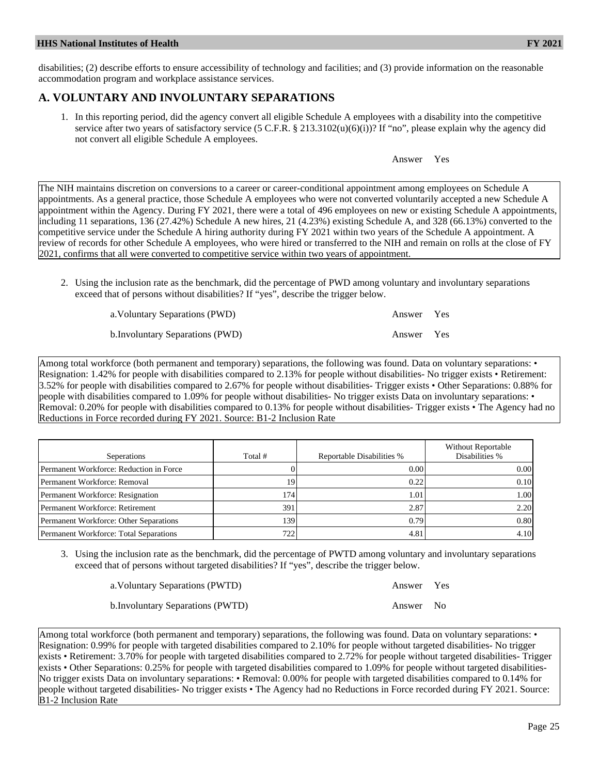disabilities; (2) describe efforts to ensure accessibility of technology and facilities; and (3) provide information on the reasonable accommodation program and workplace assistance services.

# **A. VOLUNTARY AND INVOLUNTARY SEPARATIONS**

1. In this reporting period, did the agency convert all eligible Schedule A employees with a disability into the competitive service after two years of satisfactory service (5 C.F.R.  $\S$  213.3102(u)(6)(i))? If "no", please explain why the agency did not convert all eligible Schedule A employees.

Answer Yes

The NIH maintains discretion on conversions to a career or career-conditional appointment among employees on Schedule A appointments. As a general practice, those Schedule A employees who were not converted voluntarily accepted a new Schedule A appointment within the Agency. During FY 2021, there were a total of 496 employees on new or existing Schedule A appointments, including 11 separations, 136 (27.42%) Schedule A new hires, 21 (4.23%) existing Schedule A, and 328 (66.13%) converted to the competitive service under the Schedule A hiring authority during FY 2021 within two years of the Schedule A appointment. A review of records for other Schedule A employees, who were hired or transferred to the NIH and remain on rolls at the close of FY 2021, confirms that all were converted to competitive service within two years of appointment.

2. Using the inclusion rate as the benchmark, did the percentage of PWD among voluntary and involuntary separations exceed that of persons without disabilities? If "yes", describe the trigger below.

| a. Voluntary Separations (PWD)   | Answer Yes |  |
|----------------------------------|------------|--|
| b. Involuntary Separations (PWD) | Answer Yes |  |

Among total workforce (both permanent and temporary) separations, the following was found. Data on voluntary separations: • Resignation: 1.42% for people with disabilities compared to 2.13% for people without disabilities- No trigger exists • Retirement: 3.52% for people with disabilities compared to 2.67% for people without disabilities- Trigger exists • Other Separations: 0.88% for people with disabilities compared to 1.09% for people without disabilities- No trigger exists Data on involuntary separations: • Removal: 0.20% for people with disabilities compared to 0.13% for people without disabilities- Trigger exists • The Agency had no Reductions in Force recorded during FY 2021. Source: B1-2 Inclusion Rate

| Seperations                             | Total #          | Reportable Disabilities % | <b>Without Reportable</b><br>Disabilities % |
|-----------------------------------------|------------------|---------------------------|---------------------------------------------|
| Permanent Workforce: Reduction in Force |                  | 0.00                      | 0.001                                       |
| Permanent Workforce: Removal            | 19               | 0.22                      | 0.10                                        |
| Permanent Workforce: Resignation        | 174I             | 1.01                      | 1.001                                       |
| Permanent Workforce: Retirement         | 391 <sup>1</sup> | 2.87                      | 2.20                                        |
| Permanent Workforce: Other Separations  | 139              | 0.79                      | 0.80                                        |
| Permanent Workforce: Total Separations  | 722              | 4.81                      | 4.10                                        |

3. Using the inclusion rate as the benchmark, did the percentage of PWTD among voluntary and involuntary separations exceed that of persons without targeted disabilities? If "yes", describe the trigger below.

| a. Voluntary Separations (PWTD)   | Answer Yes |  |
|-----------------------------------|------------|--|
| b. Involuntary Separations (PWTD) | Answer No  |  |

Among total workforce (both permanent and temporary) separations, the following was found. Data on voluntary separations: • Resignation: 0.99% for people with targeted disabilities compared to 2.10% for people without targeted disabilities- No trigger exists • Retirement: 3.70% for people with targeted disabilities compared to 2.72% for people without targeted disabilities- Trigger exists • Other Separations: 0.25% for people with targeted disabilities compared to 1.09% for people without targeted disabilities-No trigger exists Data on involuntary separations: • Removal: 0.00% for people with targeted disabilities compared to 0.14% for people without targeted disabilities- No trigger exists • The Agency had no Reductions in Force recorded during FY 2021. Source: B1-2 Inclusion Rate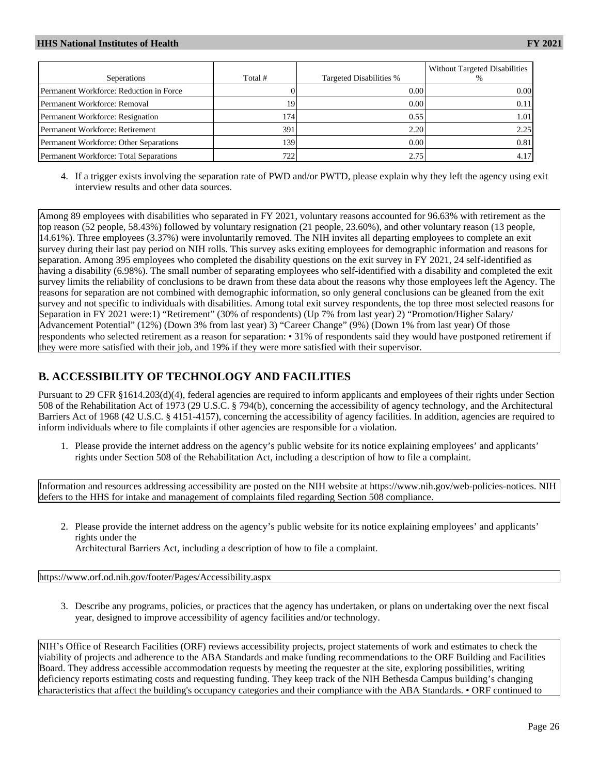| Seperations                             | Total #          | Targeted Disabilities % | Without Targeted Disabilities<br>$\%$ |
|-----------------------------------------|------------------|-------------------------|---------------------------------------|
|                                         |                  |                         |                                       |
| Permanent Workforce: Reduction in Force |                  | 0.00                    | 0.001                                 |
| Permanent Workforce: Removal            | 19               | 0.00                    | 0.11                                  |
| Permanent Workforce: Resignation        | 174I             | 0.55                    | $\lfloor .01 \rfloor$                 |
| Permanent Workforce: Retirement         | 391 <sup>1</sup> | 2.20                    | 2.25                                  |
| Permanent Workforce: Other Separations  | 139 l            | 0.00                    | 0.81                                  |
| Permanent Workforce: Total Separations  | 722              |                         |                                       |

4. If a trigger exists involving the separation rate of PWD and/or PWTD, please explain why they left the agency using exit interview results and other data sources.

Among 89 employees with disabilities who separated in FY 2021, voluntary reasons accounted for 96.63% with retirement as the top reason (52 people, 58.43%) followed by voluntary resignation (21 people, 23.60%), and other voluntary reason (13 people, 14.61%). Three employees (3.37%) were involuntarily removed. The NIH invites all departing employees to complete an exit survey during their last pay period on NIH rolls. This survey asks exiting employees for demographic information and reasons for separation. Among 395 employees who completed the disability questions on the exit survey in FY 2021, 24 self-identified as having a disability (6.98%). The small number of separating employees who self-identified with a disability and completed the exit survey limits the reliability of conclusions to be drawn from these data about the reasons why those employees left the Agency. The reasons for separation are not combined with demographic information, so only general conclusions can be gleaned from the exit survey and not specific to individuals with disabilities. Among total exit survey respondents, the top three most selected reasons for Separation in FY 2021 were:1) "Retirement" (30% of respondents) (Up 7% from last year) 2) "Promotion/Higher Salary/ Advancement Potential" (12%) (Down 3% from last year) 3) "Career Change" (9%) (Down 1% from last year) Of those respondents who selected retirement as a reason for separation: • 31% of respondents said they would have postponed retirement if they were more satisfied with their job, and 19% if they were more satisfied with their supervisor.

## **B. ACCESSIBILITY OF TECHNOLOGY AND FACILITIES**

Pursuant to 29 CFR §1614.203(d)(4), federal agencies are required to inform applicants and employees of their rights under Section 508 of the Rehabilitation Act of 1973 (29 U.S.C. § 794(b), concerning the accessibility of agency technology, and the Architectural Barriers Act of 1968 (42 U.S.C. § 4151-4157), concerning the accessibility of agency facilities. In addition, agencies are required to inform individuals where to file complaints if other agencies are responsible for a violation.

1. Please provide the internet address on the agency's public website for its notice explaining employees' and applicants' rights under Section 508 of the Rehabilitation Act, including a description of how to file a complaint.

Information and resources addressing accessibility are posted on the NIH website at https://www.nih.gov/web-policies-notices. NIH defers to the HHS for intake and management of complaints filed regarding Section 508 compliance.

2. Please provide the internet address on the agency's public website for its notice explaining employees' and applicants' rights under the

Architectural Barriers Act, including a description of how to file a complaint.

<https://www.orf.od.nih.gov/footer/Pages/Accessibility.aspx>

3. Describe any programs, policies, or practices that the agency has undertaken, or plans on undertaking over the next fiscal year, designed to improve accessibility of agency facilities and/or technology.

NIH's Office of Research Facilities (ORF) reviews accessibility projects, project statements of work and estimates to check the viability of projects and adherence to the ABA Standards and make funding recommendations to the ORF Building and Facilities Board. They address accessible accommodation requests by meeting the requester at the site, exploring possibilities, writing deficiency reports estimating costs and requesting funding. They keep track of the NIH Bethesda Campus building's changing characteristics that affect the building's occupancy categories and their compliance with the ABA Standards. • ORF continued to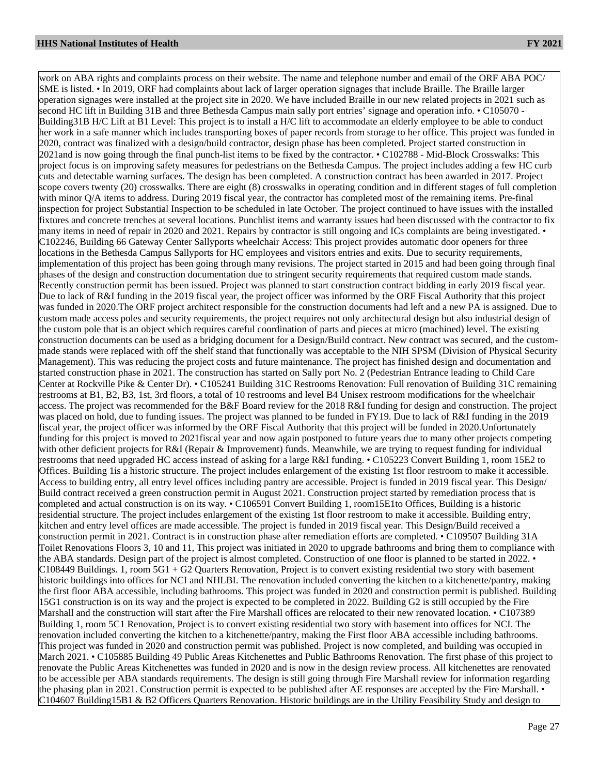work on ABA rights and complaints process on their website. The name and telephone number and email of the ORF ABA POC/ SME is listed. • In 2019, ORF had complaints about lack of larger operation signages that include Braille. The Braille larger operation signages were installed at the project site in 2020. We have included Braille in our new related projects in 2021 such as second HC lift in Building 31B and three Bethesda Campus main sally port entries' signage and operation info. • C105070 - Building31B H/C Lift at B1 Level: This project is to install a H/C lift to accommodate an elderly employee to be able to conduct her work in a safe manner which includes transporting boxes of paper records from storage to her office. This project was funded in 2020, contract was finalized with a design/build contractor, design phase has been completed. Project started construction in 2021and is now going through the final punch-list items to be fixed by the contractor. • C102788 - Mid-Block Crosswalks: This project focus is on improving safety measures for pedestrians on the Bethesda Campus. The project includes adding a few HC curb cuts and detectable warning surfaces. The design has been completed. A construction contract has been awarded in 2017. Project scope covers twenty (20) crosswalks. There are eight (8) crosswalks in operating condition and in different stages of full completion with minor Q/A items to address. During 2019 fiscal year, the contractor has completed most of the remaining items. Pre-final inspection for project Substantial Inspection to be scheduled in late October. The project continued to have issues with the installed fixtures and concrete trenches at several locations. Punchlist items and warranty issues had been discussed with the contractor to fix many items in need of repair in 2020 and 2021. Repairs by contractor is still ongoing and ICs complaints are being investigated. • C102246, Building 66 Gateway Center Sallyports wheelchair Access: This project provides automatic door openers for three locations in the Bethesda Campus Sallyports for HC employees and visitors entries and exits. Due to security requirements, implementation of this project has been going through many revisions. The project started in 2015 and had been going through final phases of the design and construction documentation due to stringent security requirements that required custom made stands. Recently construction permit has been issued. Project was planned to start construction contract bidding in early 2019 fiscal year. Due to lack of R&I funding in the 2019 fiscal year, the project officer was informed by the ORF Fiscal Authority that this project was funded in 2020.The ORF project architect responsible for the construction documents had left and a new PA is assigned. Due to custom made access poles and security requirements, the project requires not only architectural design but also industrial design of the custom pole that is an object which requires careful coordination of parts and pieces at micro (machined) level. The existing construction documents can be used as a bridging document for a Design/Build contract. New contract was secured, and the custommade stands were replaced with off the shelf stand that functionally was acceptable to the NIH SPSM (Division of Physical Security Management). This was reducing the project costs and future maintenance. The project has finished design and documentation and started construction phase in 2021. The construction has started on Sally port No. 2 (Pedestrian Entrance leading to Child Care Center at Rockville Pike & Center Dr). • C105241 Building 31C Restrooms Renovation: Full renovation of Building 31C remaining restrooms at B1, B2, B3, 1st, 3rd floors, a total of 10 restrooms and level B4 Unisex restroom modifications for the wheelchair access. The project was recommended for the B&F Board review for the 2018 R&I funding for design and construction. The project was placed on hold, due to funding issues. The project was planned to be funded in FY19. Due to lack of R&I funding in the 2019 fiscal year, the project officer was informed by the ORF Fiscal Authority that this project will be funded in 2020.Unfortunately funding for this project is moved to 2021fiscal year and now again postponed to future years due to many other projects competing with other deficient projects for R&I (Repair & Improvement) funds. Meanwhile, we are trying to request funding for individual restrooms that need upgraded HC access instead of asking for a large R&I funding. • C105223 Convert Building 1, room 15E2 to Offices. Building 1is a historic structure. The project includes enlargement of the existing 1st floor restroom to make it accessible. Access to building entry, all entry level offices including pantry are accessible. Project is funded in 2019 fiscal year. This Design/ Build contract received a green construction permit in August 2021. Construction project started by remediation process that is completed and actual construction is on its way. • C106591 Convert Building 1, room15E1to Offices, Building is a historic residential structure. The project includes enlargement of the existing 1st floor restroom to make it accessible. Building entry, kitchen and entry level offices are made accessible. The project is funded in 2019 fiscal year. This Design/Build received a construction permit in 2021. Contract is in construction phase after remediation efforts are completed. • C109507 Building 31A Toilet Renovations Floors 3, 10 and 11, This project was initiated in 2020 to upgrade bathrooms and bring them to compliance with the ABA standards. Design part of the project is almost completed. Construction of one floor is planned to be started in 2022. •  $C108449$  Buildings. 1, room  $5G1 + G2$  Quarters Renovation, Project is to convert existing residential two story with basement historic buildings into offices for NCI and NHLBI. The renovation included converting the kitchen to a kitchenette/pantry, making the first floor ABA accessible, including bathrooms. This project was funded in 2020 and construction permit is published. Building 15G1 construction is on its way and the project is expected to be completed in 2022. Building G2 is still occupied by the Fire Marshall and the construction will start after the Fire Marshall offices are relocated to their new renovated location. • C107389 Building 1, room 5C1 Renovation, Project is to convert existing residential two story with basement into offices for NCI. The renovation included converting the kitchen to a kitchenette/pantry, making the First floor ABA accessible including bathrooms. This project was funded in 2020 and construction permit was published. Project is now completed, and building was occupied in March 2021. • C105885 Building 49 Public Areas Kitchenettes and Public Bathrooms Renovation. The first phase of this project to renovate the Public Areas Kitchenettes was funded in 2020 and is now in the design review process. All kitchenettes are renovated to be accessible per ABA standards requirements. The design is still going through Fire Marshall review for information regarding the phasing plan in 2021. Construction permit is expected to be published after AE responses are accepted by the Fire Marshall. C104607 Building15B1 & B2 Officers Quarters Renovation. Historic buildings are in the Utility Feasibility Study and design to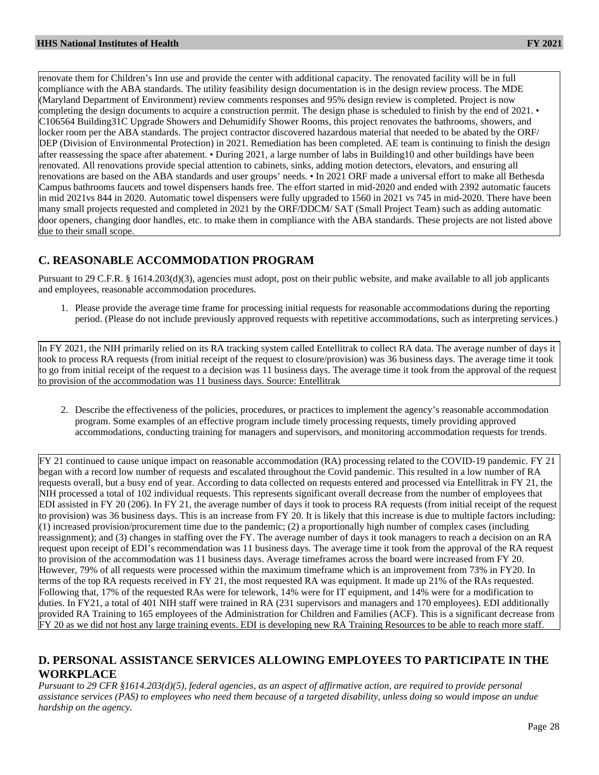renovate them for Children's Inn use and provide the center with additional capacity. The renovated facility will be in full compliance with the ABA standards. The utility feasibility design documentation is in the design review process. The MDE (Maryland Department of Environment) review comments responses and 95% design review is completed. Project is now completing the design documents to acquire a construction permit. The design phase is scheduled to finish by the end of 2021. • C106564 Building31C Upgrade Showers and Dehumidify Shower Rooms, this project renovates the bathrooms, showers, and locker room per the ABA standards. The project contractor discovered hazardous material that needed to be abated by the ORF/ DEP (Division of Environmental Protection) in 2021. Remediation has been completed. AE team is continuing to finish the design after reassessing the space after abatement. • During 2021, a large number of labs in Building10 and other buildings have been renovated. All renovations provide special attention to cabinets, sinks, adding motion detectors, elevators, and ensuring all renovations are based on the ABA standards and user groups' needs. • In 2021 ORF made a universal effort to make all Bethesda Campus bathrooms faucets and towel dispensers hands free. The effort started in mid-2020 and ended with 2392 automatic faucets in mid 2021vs 844 in 2020. Automatic towel dispensers were fully upgraded to 1560 in 2021 vs 745 in mid-2020. There have been many small projects requested and completed in 2021 by the ORF/DDCM/ SAT (Small Project Team) such as adding automatic door openers, changing door handles, etc. to make them in compliance with the ABA standards. These projects are not listed above due to their small scope.

### **C. REASONABLE ACCOMMODATION PROGRAM**

Pursuant to 29 C.F.R. § 1614.203(d)(3), agencies must adopt, post on their public website, and make available to all job applicants and employees, reasonable accommodation procedures.

1. Please provide the average time frame for processing initial requests for reasonable accommodations during the reporting period. (Please do not include previously approved requests with repetitive accommodations, such as interpreting services.)

In FY 2021, the NIH primarily relied on its RA tracking system called Entellitrak to collect RA data. The average number of days it took to process RA requests (from initial receipt of the request to closure/provision) was 36 business days. The average time it took to go from initial receipt of the request to a decision was 11 business days. The average time it took from the approval of the request to provision of the accommodation was 11 business days. Source: Entellitrak

2. Describe the effectiveness of the policies, procedures, or practices to implement the agency's reasonable accommodation program. Some examples of an effective program include timely processing requests, timely providing approved accommodations, conducting training for managers and supervisors, and monitoring accommodation requests for trends.

FY 21 continued to cause unique impact on reasonable accommodation (RA) processing related to the COVID-19 pandemic. FY 21 began with a record low number of requests and escalated throughout the Covid pandemic. This resulted in a low number of RA requests overall, but a busy end of year. According to data collected on requests entered and processed via Entellitrak in FY 21, the NIH processed a total of 102 individual requests. This represents significant overall decrease from the number of employees that EDI assisted in FY 20 (206). In FY 21, the average number of days it took to process RA requests (from initial receipt of the request to provision) was 36 business days. This is an increase from FY 20. It is likely that this increase is due to multiple factors including: (1) increased provision/procurement time due to the pandemic; (2) a proportionally high number of complex cases (including reassignment); and (3) changes in staffing over the FY. The average number of days it took managers to reach a decision on an RA request upon receipt of EDI's recommendation was 11 business days. The average time it took from the approval of the RA request to provision of the accommodation was 11 business days. Average timeframes across the board were increased from FY 20. However, 79% of all requests were processed within the maximum timeframe which is an improvement from 73% in FY20. In terms of the top RA requests received in FY 21, the most requested RA was equipment. It made up 21% of the RAs requested. Following that, 17% of the requested RAs were for telework, 14% were for IT equipment, and 14% were for a modification to duties. In FY21, a total of 401 NIH staff were trained in RA (231 supervisors and managers and 170 employees). EDI additionally provided RA Training to 165 employees of the Administration for Children and Families (ACF). This is a significant decrease from FY 20 as we did not host any large training events. EDI is developing new RA Training Resources to be able to reach more staff.

### **D. PERSONAL ASSISTANCE SERVICES ALLOWING EMPLOYEES TO PARTICIPATE IN THE WORKPLACE**

*Pursuant to 29 CFR §1614.203(d)(5), federal agencies, as an aspect of affirmative action, are required to provide personal assistance services (PAS) to employees who need them because of a targeted disability, unless doing so would impose an undue hardship on the agency.*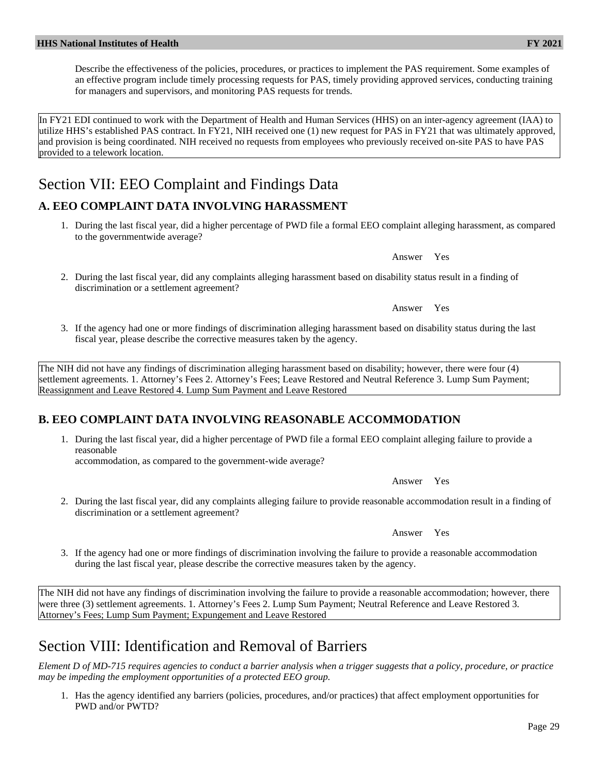Describe the effectiveness of the policies, procedures, or practices to implement the PAS requirement. Some examples of an effective program include timely processing requests for PAS, timely providing approved services, conducting training for managers and supervisors, and monitoring PAS requests for trends.

In FY21 EDI continued to work with the Department of Health and Human Services (HHS) on an inter-agency agreement (IAA) to utilize HHS's established PAS contract. In FY21, NIH received one (1) new request for PAS in FY21 that was ultimately approved, and provision is being coordinated. NIH received no requests from employees who previously received on-site PAS to have PAS provided to a telework location.

# Section VII: EEO Complaint and Findings Data

# **A. EEO COMPLAINT DATA INVOLVING HARASSMENT**

1. During the last fiscal year, did a higher percentage of PWD file a formal EEO complaint alleging harassment, as compared to the governmentwide average?

Answer Yes

2. During the last fiscal year, did any complaints alleging harassment based on disability status result in a finding of discrimination or a settlement agreement?

Answer Yes

3. If the agency had one or more findings of discrimination alleging harassment based on disability status during the last fiscal year, please describe the corrective measures taken by the agency.

The NIH did not have any findings of discrimination alleging harassment based on disability; however, there were four (4) settlement agreements. 1. Attorney's Fees 2. Attorney's Fees; Leave Restored and Neutral Reference 3. Lump Sum Payment; Reassignment and Leave Restored 4. Lump Sum Payment and Leave Restored

# **B. EEO COMPLAINT DATA INVOLVING REASONABLE ACCOMMODATION**

1. During the last fiscal year, did a higher percentage of PWD file a formal EEO complaint alleging failure to provide a reasonable

accommodation, as compared to the government-wide average?

Answer Yes

2. During the last fiscal year, did any complaints alleging failure to provide reasonable accommodation result in a finding of discrimination or a settlement agreement?

Answer Yes

3. If the agency had one or more findings of discrimination involving the failure to provide a reasonable accommodation during the last fiscal year, please describe the corrective measures taken by the agency.

The NIH did not have any findings of discrimination involving the failure to provide a reasonable accommodation; however, there were three (3) settlement agreements. 1. Attorney's Fees 2. Lump Sum Payment; Neutral Reference and Leave Restored 3. Attorney's Fees; Lump Sum Payment; Expungement and Leave Restored

# Section VIII: Identification and Removal of Barriers

*Element D of MD-715 requires agencies to conduct a barrier analysis when a trigger suggests that a policy, procedure, or practice may be impeding the employment opportunities of a protected EEO group.*

1. Has the agency identified any barriers (policies, procedures, and/or practices) that affect employment opportunities for PWD and/or PWTD?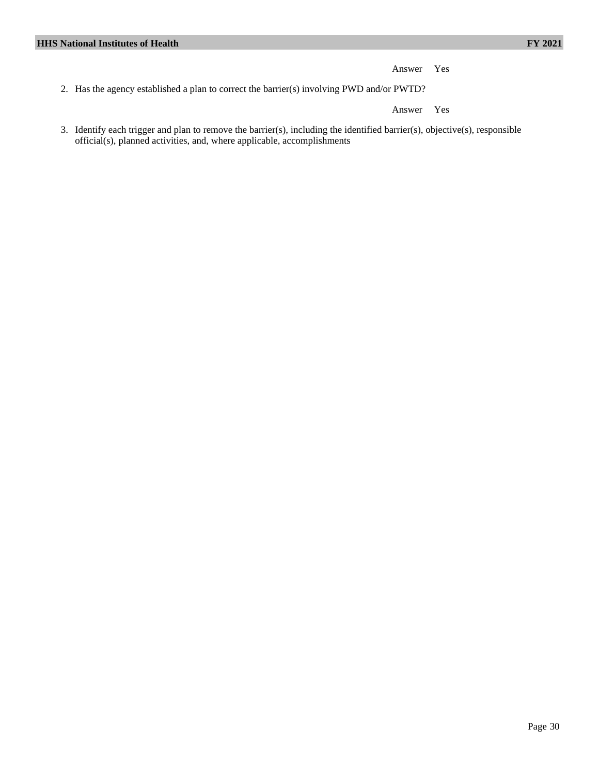Answer Yes

2. Has the agency established a plan to correct the barrier(s) involving PWD and/or PWTD?

Answer Yes

3. Identify each trigger and plan to remove the barrier(s), including the identified barrier(s), objective(s), responsible official(s), planned activities, and, where applicable, accomplishments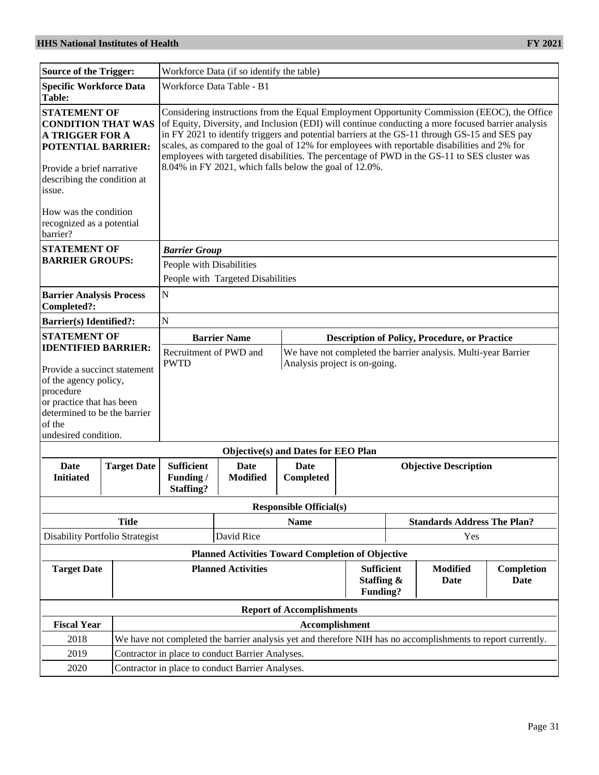| <b>Source of the Trigger:</b>                                                                                                                                                                   |                                                                                                              | Workforce Data (if so identify the table)                                                                                                                                                                                                                                                                                                                                                                                                                                                                                                                    |                                                          |                                     |                                                                                                 |                                                      |     |  |
|-------------------------------------------------------------------------------------------------------------------------------------------------------------------------------------------------|--------------------------------------------------------------------------------------------------------------|--------------------------------------------------------------------------------------------------------------------------------------------------------------------------------------------------------------------------------------------------------------------------------------------------------------------------------------------------------------------------------------------------------------------------------------------------------------------------------------------------------------------------------------------------------------|----------------------------------------------------------|-------------------------------------|-------------------------------------------------------------------------------------------------|------------------------------------------------------|-----|--|
| Specific Workforce Data<br><b>Table:</b>                                                                                                                                                        |                                                                                                              | Workforce Data Table - B1                                                                                                                                                                                                                                                                                                                                                                                                                                                                                                                                    |                                                          |                                     |                                                                                                 |                                                      |     |  |
| <b>STATEMENT OF</b><br><b>CONDITION THAT WAS</b><br><b>A TRIGGER FOR A</b><br><b>POTENTIAL BARRIER:</b><br>Provide a brief narrative<br>describing the condition at<br>issue.                   |                                                                                                              | Considering instructions from the Equal Employment Opportunity Commission (EEOC), the Office<br>of Equity, Diversity, and Inclusion (EDI) will continue conducting a more focused barrier analysis<br>in FY 2021 to identify triggers and potential barriers at the GS-11 through GS-15 and SES pay<br>scales, as compared to the goal of 12% for employees with reportable disabilities and 2% for<br>employees with targeted disabilities. The percentage of PWD in the GS-11 to SES cluster was<br>8.04% in FY 2021, which falls below the goal of 12.0%. |                                                          |                                     |                                                                                                 |                                                      |     |  |
| How was the condition<br>recognized as a potential<br>barrier?                                                                                                                                  |                                                                                                              |                                                                                                                                                                                                                                                                                                                                                                                                                                                                                                                                                              |                                                          |                                     |                                                                                                 |                                                      |     |  |
| <b>STATEMENT OF</b>                                                                                                                                                                             |                                                                                                              | <b>Barrier Group</b>                                                                                                                                                                                                                                                                                                                                                                                                                                                                                                                                         |                                                          |                                     |                                                                                                 |                                                      |     |  |
| <b>BARRIER GROUPS:</b>                                                                                                                                                                          |                                                                                                              | People with Disabilities                                                                                                                                                                                                                                                                                                                                                                                                                                                                                                                                     |                                                          |                                     |                                                                                                 |                                                      |     |  |
|                                                                                                                                                                                                 |                                                                                                              |                                                                                                                                                                                                                                                                                                                                                                                                                                                                                                                                                              | People with Targeted Disabilities                        |                                     |                                                                                                 |                                                      |     |  |
| <b>Barrier Analysis Process</b><br>Completed?:                                                                                                                                                  |                                                                                                              | ${\bf N}$                                                                                                                                                                                                                                                                                                                                                                                                                                                                                                                                                    |                                                          |                                     |                                                                                                 |                                                      |     |  |
| <b>Barrier(s)</b> Identified?:                                                                                                                                                                  |                                                                                                              | $\mathbf N$                                                                                                                                                                                                                                                                                                                                                                                                                                                                                                                                                  |                                                          |                                     |                                                                                                 |                                                      |     |  |
| <b>STATEMENT OF</b>                                                                                                                                                                             |                                                                                                              |                                                                                                                                                                                                                                                                                                                                                                                                                                                                                                                                                              | <b>Barrier Name</b>                                      |                                     |                                                                                                 | <b>Description of Policy, Procedure, or Practice</b> |     |  |
| <b>IDENTIFIED BARRIER:</b><br>Provide a succinct statement<br>of the agency policy,<br>procedure<br>or practice that has been<br>determined to be the barrier<br>of the<br>undesired condition. |                                                                                                              | <b>PWTD</b>                                                                                                                                                                                                                                                                                                                                                                                                                                                                                                                                                  | Recruitment of PWD and                                   |                                     | We have not completed the barrier analysis. Multi-year Barrier<br>Analysis project is on-going. |                                                      |     |  |
|                                                                                                                                                                                                 |                                                                                                              |                                                                                                                                                                                                                                                                                                                                                                                                                                                                                                                                                              |                                                          | Objective(s) and Dates for EEO Plan |                                                                                                 |                                                      |     |  |
| Date<br><b>Initiated</b>                                                                                                                                                                        | <b>Target Date</b>                                                                                           | <b>Sufficient</b><br>Funding/<br><b>Staffing?</b>                                                                                                                                                                                                                                                                                                                                                                                                                                                                                                            | Date<br><b>Modified</b>                                  | Date<br>Completed                   |                                                                                                 | <b>Objective Description</b>                         |     |  |
|                                                                                                                                                                                                 |                                                                                                              |                                                                                                                                                                                                                                                                                                                                                                                                                                                                                                                                                              |                                                          | <b>Responsible Official(s)</b>      |                                                                                                 |                                                      |     |  |
|                                                                                                                                                                                                 | <b>Title</b><br><b>Name</b><br><b>Standards Address The Plan?</b>                                            |                                                                                                                                                                                                                                                                                                                                                                                                                                                                                                                                                              |                                                          |                                     |                                                                                                 |                                                      |     |  |
| Disability Portfolio Strategist                                                                                                                                                                 |                                                                                                              |                                                                                                                                                                                                                                                                                                                                                                                                                                                                                                                                                              | David Rice                                               |                                     |                                                                                                 |                                                      | Yes |  |
|                                                                                                                                                                                                 |                                                                                                              |                                                                                                                                                                                                                                                                                                                                                                                                                                                                                                                                                              | <b>Planned Activities Toward Completion of Objective</b> |                                     |                                                                                                 |                                                      |     |  |
| <b>Target Date</b>                                                                                                                                                                              | <b>Planned Activities</b><br><b>Sufficient</b><br><b>Modified</b><br>Staffing &<br>Date<br>Funding?          |                                                                                                                                                                                                                                                                                                                                                                                                                                                                                                                                                              |                                                          | Completion<br>Date                  |                                                                                                 |                                                      |     |  |
|                                                                                                                                                                                                 |                                                                                                              |                                                                                                                                                                                                                                                                                                                                                                                                                                                                                                                                                              |                                                          | <b>Report of Accomplishments</b>    |                                                                                                 |                                                      |     |  |
| <b>Fiscal Year</b>                                                                                                                                                                              |                                                                                                              |                                                                                                                                                                                                                                                                                                                                                                                                                                                                                                                                                              |                                                          | Accomplishment                      |                                                                                                 |                                                      |     |  |
| 2018                                                                                                                                                                                            | We have not completed the barrier analysis yet and therefore NIH has no accomplishments to report currently. |                                                                                                                                                                                                                                                                                                                                                                                                                                                                                                                                                              |                                                          |                                     |                                                                                                 |                                                      |     |  |
| 2019                                                                                                                                                                                            |                                                                                                              |                                                                                                                                                                                                                                                                                                                                                                                                                                                                                                                                                              | Contractor in place to conduct Barrier Analyses.         |                                     |                                                                                                 |                                                      |     |  |
| 2020                                                                                                                                                                                            |                                                                                                              |                                                                                                                                                                                                                                                                                                                                                                                                                                                                                                                                                              | Contractor in place to conduct Barrier Analyses.         |                                     |                                                                                                 |                                                      |     |  |